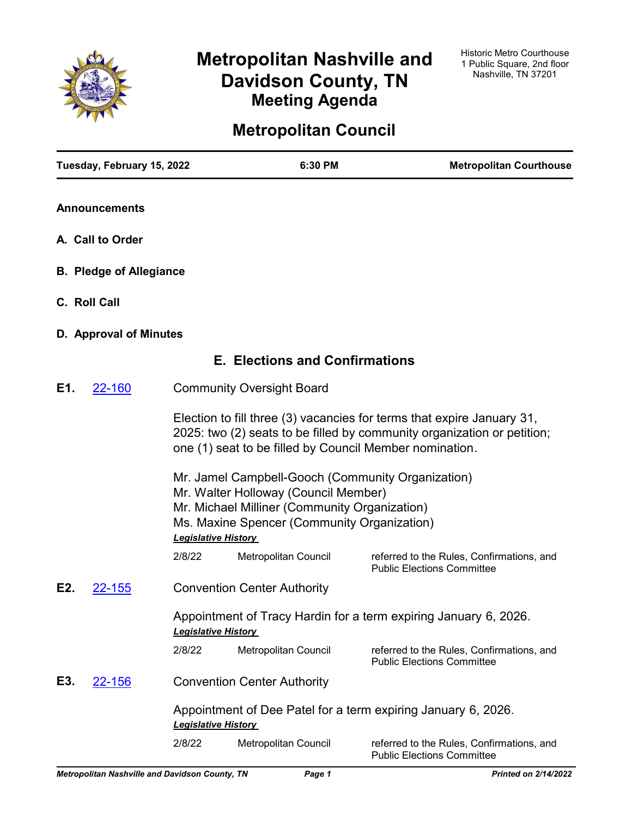

# **Metropolitan Nashville and Davidson County, TN Meeting Agenda**

# **Metropolitan Council**

|     | Tuesday, February 15, 2022     |                            | 6:30 PM                                                                                                                                                                                   | <b>Metropolitan Courthouse</b>                                                                                                                    |
|-----|--------------------------------|----------------------------|-------------------------------------------------------------------------------------------------------------------------------------------------------------------------------------------|---------------------------------------------------------------------------------------------------------------------------------------------------|
|     | <b>Announcements</b>           |                            |                                                                                                                                                                                           |                                                                                                                                                   |
|     | A. Call to Order               |                            |                                                                                                                                                                                           |                                                                                                                                                   |
|     | <b>B. Pledge of Allegiance</b> |                            |                                                                                                                                                                                           |                                                                                                                                                   |
|     | C. Roll Call                   |                            |                                                                                                                                                                                           |                                                                                                                                                   |
|     | D. Approval of Minutes         |                            |                                                                                                                                                                                           |                                                                                                                                                   |
|     |                                |                            | <b>E. Elections and Confirmations</b>                                                                                                                                                     |                                                                                                                                                   |
| E1. | 22-160                         |                            | <b>Community Oversight Board</b>                                                                                                                                                          |                                                                                                                                                   |
|     |                                |                            | one (1) seat to be filled by Council Member nomination.                                                                                                                                   | Election to fill three (3) vacancies for terms that expire January 31,<br>2025: two (2) seats to be filled by community organization or petition; |
|     |                                | <b>Legislative History</b> | Mr. Jamel Campbell-Gooch (Community Organization)<br>Mr. Walter Holloway (Council Member)<br>Mr. Michael Milliner (Community Organization)<br>Ms. Maxine Spencer (Community Organization) |                                                                                                                                                   |
|     |                                | 2/8/22                     | Metropolitan Council                                                                                                                                                                      | referred to the Rules, Confirmations, and<br><b>Public Elections Committee</b>                                                                    |
| E2. | <b>22-155</b>                  |                            | <b>Convention Center Authority</b>                                                                                                                                                        |                                                                                                                                                   |
|     |                                | <b>Legislative History</b> |                                                                                                                                                                                           | Appointment of Tracy Hardin for a term expiring January 6, 2026.                                                                                  |
|     |                                | 2/8/22                     | Metropolitan Council                                                                                                                                                                      | referred to the Rules, Confirmations, and<br><b>Public Elections Committee</b>                                                                    |
| E3. | <u>22-156</u>                  |                            | <b>Convention Center Authority</b>                                                                                                                                                        |                                                                                                                                                   |
|     |                                | <b>Legislative History</b> |                                                                                                                                                                                           | Appointment of Dee Patel for a term expiring January 6, 2026.                                                                                     |
|     |                                | 2/8/22                     | Metropolitan Council                                                                                                                                                                      | referred to the Rules, Confirmations, and<br><b>Public Elections Committee</b>                                                                    |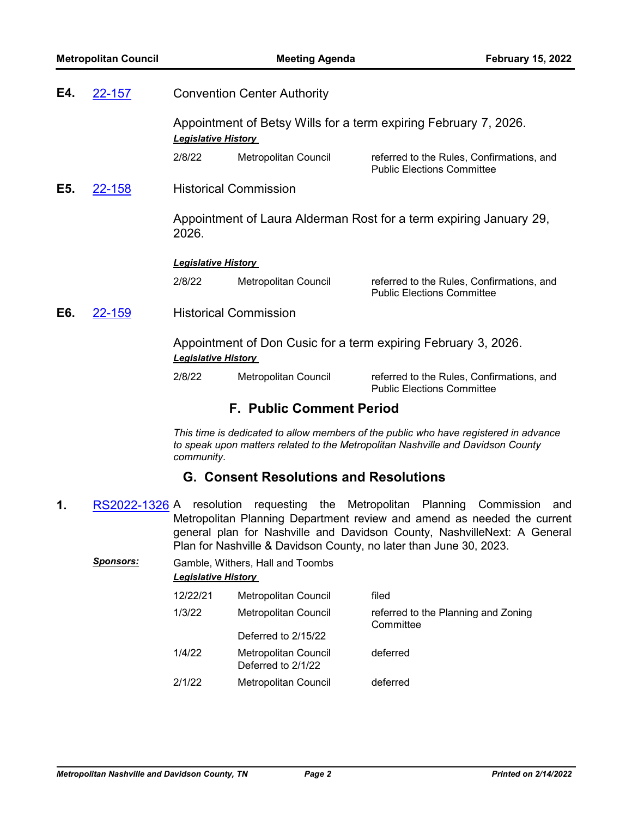| E4. | 22-157 | <b>Convention Center Authority</b>                                                           |                                 |                                                                                                                                                                         |
|-----|--------|----------------------------------------------------------------------------------------------|---------------------------------|-------------------------------------------------------------------------------------------------------------------------------------------------------------------------|
|     |        | <b>Legislative History</b>                                                                   |                                 | Appointment of Betsy Wills for a term expiring February 7, 2026.                                                                                                        |
|     |        | 2/8/22                                                                                       | Metropolitan Council            | referred to the Rules, Confirmations, and<br><b>Public Elections Committee</b>                                                                                          |
| E5. | 22-158 |                                                                                              | <b>Historical Commission</b>    |                                                                                                                                                                         |
|     |        | 2026.                                                                                        |                                 | Appointment of Laura Alderman Rost for a term expiring January 29,                                                                                                      |
|     |        | <b>Legislative History</b>                                                                   |                                 |                                                                                                                                                                         |
|     |        | 2/8/22                                                                                       | Metropolitan Council            | referred to the Rules, Confirmations, and<br><b>Public Elections Committee</b>                                                                                          |
| E6. | 22-159 |                                                                                              | <b>Historical Commission</b>    |                                                                                                                                                                         |
|     |        | Appointment of Don Cusic for a term expiring February 3, 2026.<br><b>Legislative History</b> |                                 |                                                                                                                                                                         |
|     |        | 2/8/22                                                                                       | Metropolitan Council            | referred to the Rules, Confirmations, and<br><b>Public Elections Committee</b>                                                                                          |
|     |        |                                                                                              | <b>F. Public Comment Period</b> |                                                                                                                                                                         |
|     |        |                                                                                              |                                 | This time is dedicated to allow members of the public who have registered in advance<br>to speak upon matters related to the Metropolitan Nashville and Davidson County |

*to speak upon matters related to the Metropolitan Nashville and Davidson County community.*

# **G. Consent Resolutions and Resolutions**

**1.** [RS2022-1326](http://nashville.legistar.com/gateway.aspx?m=l&id=/matter.aspx?key=14004) A resolution requesting the Metropolitan Planning Commission and Metropolitan Planning Department review and amend as needed the current general plan for Nashville and Davidson County, NashvilleNext: A General Plan for Nashville & Davidson County, no later than June 30, 2023.

| Sponsors: | <b>Legislative History</b> | Gamble, Withers, Hall and Toombs           |                                                  |
|-----------|----------------------------|--------------------------------------------|--------------------------------------------------|
|           | 12/22/21                   | <b>Metropolitan Council</b>                | filed                                            |
|           | 1/3/22                     | Metropolitan Council                       | referred to the Planning and Zoning<br>Committee |
|           |                            | Deferred to 2/15/22                        |                                                  |
|           | 1/4/22                     | Metropolitan Council<br>Deferred to 2/1/22 | deferred                                         |
|           | 2/1/22                     | Metropolitan Council                       | deferred                                         |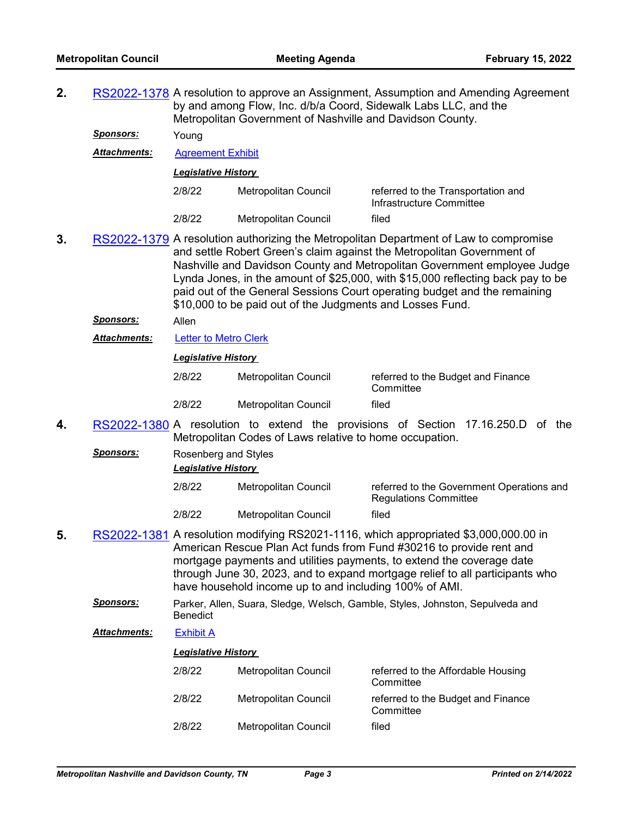**2.** [RS2022-1378](http://nashville.legistar.com/gateway.aspx?m=l&id=/matter.aspx?key=14097) A resolution to approve an Assignment, Assumption and Amending Agreement by and among Flow, Inc. d/b/a Coord, Sidewalk Labs LLC, and the Metropolitan Government of Nashville and Davidson County.

*Sponsors:* Young

*Attachments:* [Agreement Exhibit](http://nashville.legistar.com/gateway.aspx?M=F&ID=a2f28f45-c215-4318-aec5-db615224250a.pdf)

*Legislative History* 

| 2/8/22 | Metropolitan Council | referred to the Transportation and<br>Infrastructure Committee |
|--------|----------------------|----------------------------------------------------------------|
| 2/8/22 | Metropolitan Council | filed                                                          |

**3.** [RS2022-1379](http://nashville.legistar.com/gateway.aspx?m=l&id=/matter.aspx?key=14121) A resolution authorizing the Metropolitan Department of Law to compromise and settle Robert Green's claim against the Metropolitan Government of Nashville and Davidson County and Metropolitan Government employee Judge Lynda Jones, in the amount of \$25,000, with \$15,000 reflecting back pay to be paid out of the General Sessions Court operating budget and the remaining \$10,000 to be paid out of the Judgments and Losses Fund.

*Sponsors:* Allen

*Attachments:* [Letter to Metro Clerk](http://nashville.legistar.com/gateway.aspx?M=F&ID=d52792ba-74a5-43b9-b76b-060c3b447b79.PDF)

## *Legislative History*

| 2/8/22 | Metropolitan Council | referred to the Budget and Finance<br>Committee |
|--------|----------------------|-------------------------------------------------|
| 2/8/22 | Metropolitan Council | filed                                           |

**4.** [RS2022-1380](http://nashville.legistar.com/gateway.aspx?m=l&id=/matter.aspx?key=14133) A resolution to extend the provisions of Section 17.16.250.D of the Metropolitan Codes of Laws relative to home occupation.

| <u>Sponsors:</u> | Rosenberg and Styles<br><b>Legislative History</b> |                      |                                                                           |  |
|------------------|----------------------------------------------------|----------------------|---------------------------------------------------------------------------|--|
|                  | 2/8/22                                             | Metropolitan Council | referred to the Government Operations and<br><b>Regulations Committee</b> |  |
|                  | 2/8/22                                             | Metropolitan Council | filed                                                                     |  |

- **5.** [RS2022-1381](http://nashville.legistar.com/gateway.aspx?m=l&id=/matter.aspx?key=14127) A resolution modifying RS2021-1116, which appropriated \$3,000,000.00 in American Rescue Plan Act funds from Fund #30216 to provide rent and mortgage payments and utilities payments, to extend the coverage date through June 30, 2023, and to expand mortgage relief to all participants who have household income up to and including 100% of AMI.
	- *Sponsors:* Parker, Allen, Suara, Sledge, Welsch, Gamble, Styles, Johnston, Sepulveda and **Benedict**
	- *Attachments:* [Exhibit A](http://nashville.legistar.com/gateway.aspx?M=F&ID=10a31e61-62d8-4e42-9176-9fc35933df76.pdf)

| 2/8/22 | Metropolitan Council | referred to the Affordable Housing<br>Committee |
|--------|----------------------|-------------------------------------------------|
| 2/8/22 | Metropolitan Council | referred to the Budget and Finance<br>Committee |
| 2/8/22 | Metropolitan Council | filed                                           |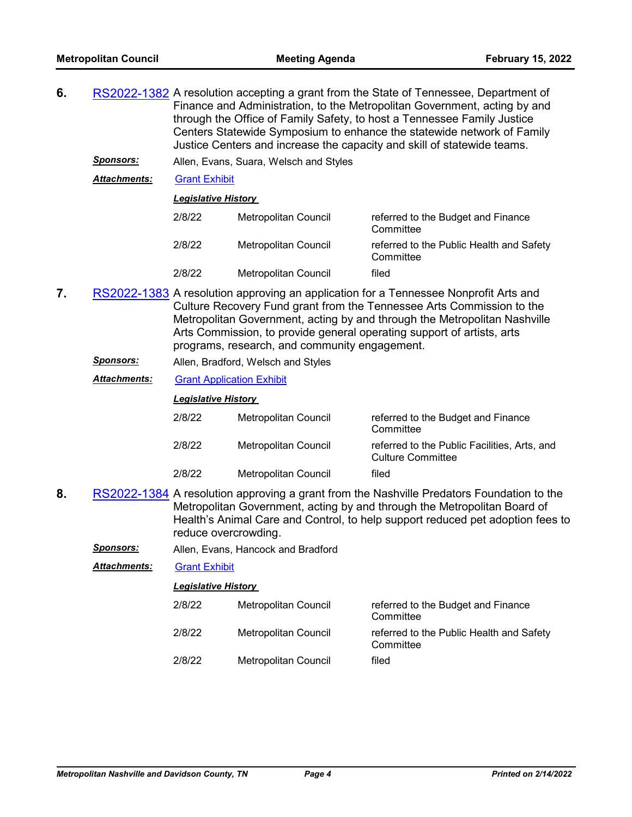- **6.** [RS2022-1382](http://nashville.legistar.com/gateway.aspx?m=l&id=/matter.aspx?key=14125) A resolution accepting a grant from the State of Tennessee, Department of Finance and Administration, to the Metropolitan Government, acting by and through the Office of Family Safety, to host a Tennessee Family Justice Centers Statewide Symposium to enhance the statewide network of Family Justice Centers and increase the capacity and skill of statewide teams.
	- *Sponsors:* Allen, Evans, Suara, Welsch and Styles

*Attachments:* [Grant Exhibit](http://nashville.legistar.com/gateway.aspx?M=F&ID=ef74a6f6-a84b-461d-b389-b77d6b4e7c89.pdf)

#### *Legislative History*

| 2/8/22 | Metropolitan Council | referred to the Budget and Finance<br>Committee       |
|--------|----------------------|-------------------------------------------------------|
| 2/8/22 | Metropolitan Council | referred to the Public Health and Safety<br>Committee |
| 2/8/22 | Metropolitan Council | filed                                                 |

- **7.** [RS2022-1383](http://nashville.legistar.com/gateway.aspx?m=l&id=/matter.aspx?key=14122) A resolution approving an application for a Tennessee Nonprofit Arts and Culture Recovery Fund grant from the Tennessee Arts Commission to the Metropolitan Government, acting by and through the Metropolitan Nashville Arts Commission, to provide general operating support of artists, arts programs, research, and community engagement.
	- *Sponsors:* Allen, Bradford, Welsch and Styles

## *Attachments:* [Grant Application Exhibit](http://nashville.legistar.com/gateway.aspx?M=F&ID=84871ef5-8320-4950-96d5-f63eebbc2439.pdf)

#### *Legislative History*

| 2/8/22 | Metropolitan Council | referred to the Budget and Finance<br>Committee                          |
|--------|----------------------|--------------------------------------------------------------------------|
| 2/8/22 | Metropolitan Council | referred to the Public Facilities, Arts, and<br><b>Culture Committee</b> |
| 2/8/22 | Metropolitan Council | filed                                                                    |

- **8.** [RS2022-1384](http://nashville.legistar.com/gateway.aspx?m=l&id=/matter.aspx?key=14116) A resolution approving a grant from the Nashville Predators Foundation to the Metropolitan Government, acting by and through the Metropolitan Board of Health's Animal Care and Control, to help support reduced pet adoption fees to reduce overcrowding.
	- *Sponsors:* Allen, Evans, Hancock and Bradford

## *Attachments:* [Grant Exhibit](http://nashville.legistar.com/gateway.aspx?M=F&ID=f174059f-2f4c-48cd-ba15-386ed238b385.pdf)

| 2/8/22 | Metropolitan Council | referred to the Budget and Finance<br>Committee       |
|--------|----------------------|-------------------------------------------------------|
| 2/8/22 | Metropolitan Council | referred to the Public Health and Safety<br>Committee |
| 2/8/22 | Metropolitan Council | filed                                                 |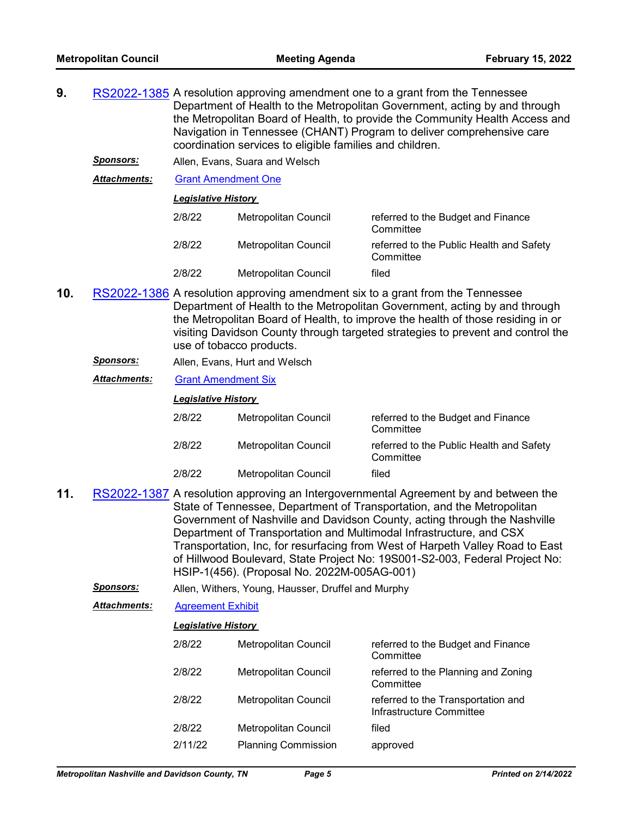- **9.** [RS2022-1385](http://nashville.legistar.com/gateway.aspx?m=l&id=/matter.aspx?key=14113) A resolution approving amendment one to a grant from the Tennessee Department of Health to the Metropolitan Government, acting by and through the Metropolitan Board of Health, to provide the Community Health Access and Navigation in Tennessee (CHANT) Program to deliver comprehensive care coordination services to eligible families and children.
	- *Sponsors:* Allen, Evans, Suara and Welsch

*Attachments:* [Grant Amendment One](http://nashville.legistar.com/gateway.aspx?M=F&ID=c3a10802-f7d7-43b6-9705-bc36c979efa0.pdf)

*Legislative History* 

| 2/8/22 | Metropolitan Council        | referred to the Budget and Finance<br>Committee       |
|--------|-----------------------------|-------------------------------------------------------|
| 2/8/22 | Metropolitan Council        | referred to the Public Health and Safety<br>Committee |
| 2/8/22 | <b>Metropolitan Council</b> | filed                                                 |

- **10.** [RS2022-1386](http://nashville.legistar.com/gateway.aspx?m=l&id=/matter.aspx?key=14117) A resolution approving amendment six to a grant from the Tennessee Department of Health to the Metropolitan Government, acting by and through the Metropolitan Board of Health, to improve the health of those residing in or visiting Davidson County through targeted strategies to prevent and control the use of tobacco products.
	- *Sponsors:* Allen, Evans, Hurt and Welsch
	- *Attachments:* [Grant Amendment Six](http://nashville.legistar.com/gateway.aspx?M=F&ID=356a972b-1c59-4cfa-882b-f6093e98db1a.pdf)

#### *Legislative History*

| 2/8/22 | Metropolitan Council | referred to the Budget and Finance<br>Committee       |
|--------|----------------------|-------------------------------------------------------|
| 2/8/22 | Metropolitan Council | referred to the Public Health and Safety<br>Committee |
| 2/8/22 | Metropolitan Council | filed                                                 |

- **11.** [RS2022-1387](http://nashville.legistar.com/gateway.aspx?m=l&id=/matter.aspx?key=14123) A resolution approving an Intergovernmental Agreement by and between the State of Tennessee, Department of Transportation, and the Metropolitan Government of Nashville and Davidson County, acting through the Nashville Department of Transportation and Multimodal Infrastructure, and CSX Transportation, Inc, for resurfacing from West of Harpeth Valley Road to East of Hillwood Boulevard, State Project No: 19S001-S2-003, Federal Project No: HSIP-1(456). (Proposal No. 2022M-005AG-001)
	- *Sponsors:* Allen, Withers, Young, Hausser, Druffel and Murphy
	- *Attachments:* [Agreement Exhibit](http://nashville.legistar.com/gateway.aspx?M=F&ID=e41a950d-4cd5-40f5-bae9-6dac4552b7ed.pdf)

| 2/8/22  | <b>Metropolitan Council</b> | referred to the Budget and Finance<br>Committee                |
|---------|-----------------------------|----------------------------------------------------------------|
| 2/8/22  | Metropolitan Council        | referred to the Planning and Zoning<br>Committee               |
| 2/8/22  | <b>Metropolitan Council</b> | referred to the Transportation and<br>Infrastructure Committee |
| 2/8/22  | <b>Metropolitan Council</b> | filed                                                          |
| 2/11/22 | <b>Planning Commission</b>  | approved                                                       |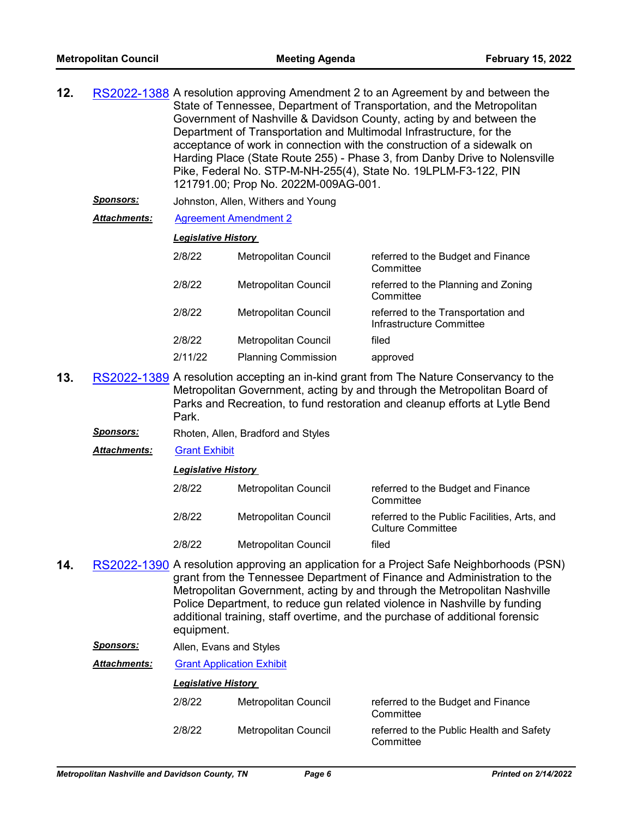| RS2022-1388 A resolution approving Amendment 2 to an Agreement by and between the |
|-----------------------------------------------------------------------------------|
| State of Tennessee, Department of Transportation, and the Metropolitan            |
| Government of Nashville & Davidson County, acting by and between the              |
| Department of Transportation and Multimodal Infrastructure, for the               |
| acceptance of work in connection with the construction of a sidewalk on           |
| Harding Place (State Route 255) - Phase 3, from Danby Drive to Nolensville        |
| Pike, Federal No. STP-M-NH-255(4), State No. 19LPLM-F3-122, PIN                   |
| 121791.00; Prop No. 2022M-009AG-001.                                              |
|                                                                                   |

- *Sponsors:* Johnston, Allen, Withers and Young
- *Attachments:* [Agreement Amendment 2](http://nashville.legistar.com/gateway.aspx?M=F&ID=4788beb5-64ac-4afd-a00a-f200b32f5ccc.pdf)

#### *Legislative History*

| 2/8/22  | Metropolitan Council        | referred to the Budget and Finance<br>Committee                |
|---------|-----------------------------|----------------------------------------------------------------|
| 2/8/22  | Metropolitan Council        | referred to the Planning and Zoning<br>Committee               |
| 2/8/22  | <b>Metropolitan Council</b> | referred to the Transportation and<br>Infrastructure Committee |
| 2/8/22  | Metropolitan Council        | filed                                                          |
| 2/11/22 | <b>Planning Commission</b>  | approved                                                       |

- **13.** [RS2022-1389](http://nashville.legistar.com/gateway.aspx?m=l&id=/matter.aspx?key=14118) A resolution accepting an in-kind grant from The Nature Conservancy to the Metropolitan Government, acting by and through the Metropolitan Board of Parks and Recreation, to fund restoration and cleanup efforts at Lytle Bend Park.
	- **Sponsors:** Rhoten, Allen, Bradford and Styles
	- *Attachments:* [Grant Exhibit](http://nashville.legistar.com/gateway.aspx?M=F&ID=aae92625-5318-40b5-b8c6-bac7fed850ee.pdf)

# *Legislative History*

| 2/8/22 | Metropolitan Council | referred to the Budget and Finance<br>Committee                          |
|--------|----------------------|--------------------------------------------------------------------------|
| 2/8/22 | Metropolitan Council | referred to the Public Facilities, Arts, and<br><b>Culture Committee</b> |
| 2/8/22 | Metropolitan Council | filed                                                                    |

- **14.** [RS2022-1390](http://nashville.legistar.com/gateway.aspx?m=l&id=/matter.aspx?key=14126) A resolution approving an application for a Project Safe Neighborhoods (PSN) grant from the Tennessee Department of Finance and Administration to the Metropolitan Government, acting by and through the Metropolitan Nashville Police Department, to reduce gun related violence in Nashville by funding additional training, staff overtime, and the purchase of additional forensic equipment.
	- *Sponsors:* Allen, Evans and Styles

*Attachments:* [Grant Application Exhibit](http://nashville.legistar.com/gateway.aspx?M=F&ID=a6b712e3-ada4-42a4-b0a9-1132cc774e4a.pdf)

| 2/8/22 | Metropolitan Council | referred to the Budget and Finance<br>Committee       |
|--------|----------------------|-------------------------------------------------------|
| 2/8/22 | Metropolitan Council | referred to the Public Health and Safety<br>Committee |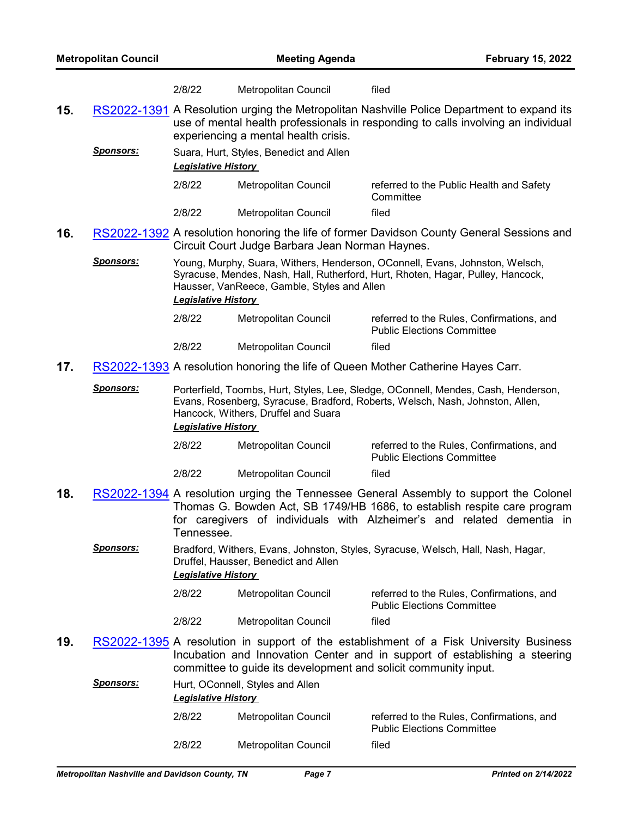|     |                  | 2/8/22                                                                                                                                                                                                                                   | Metropolitan Council                                            | filed                                                                                                                                                                                                                                       |
|-----|------------------|------------------------------------------------------------------------------------------------------------------------------------------------------------------------------------------------------------------------------------------|-----------------------------------------------------------------|---------------------------------------------------------------------------------------------------------------------------------------------------------------------------------------------------------------------------------------------|
| 15. |                  |                                                                                                                                                                                                                                          | experiencing a mental health crisis.                            | RS2022-1391 A Resolution urging the Metropolitan Nashville Police Department to expand its<br>use of mental health professionals in responding to calls involving an individual                                                             |
|     | <u>Sponsors:</u> | <b>Legislative History</b>                                                                                                                                                                                                               | Suara, Hurt, Styles, Benedict and Allen                         |                                                                                                                                                                                                                                             |
|     |                  | 2/8/22                                                                                                                                                                                                                                   | Metropolitan Council                                            | referred to the Public Health and Safety<br>Committee                                                                                                                                                                                       |
|     |                  | 2/8/22                                                                                                                                                                                                                                   | Metropolitan Council                                            | filed                                                                                                                                                                                                                                       |
| 16. |                  |                                                                                                                                                                                                                                          | Circuit Court Judge Barbara Jean Norman Haynes.                 | RS2022-1392 A resolution honoring the life of former Davidson County General Sessions and                                                                                                                                                   |
|     | <u>Sponsors:</u> | <b>Legislative History</b>                                                                                                                                                                                                               | Hausser, VanReece, Gamble, Styles and Allen                     | Young, Murphy, Suara, Withers, Henderson, OConnell, Evans, Johnston, Welsch,<br>Syracuse, Mendes, Nash, Hall, Rutherford, Hurt, Rhoten, Hagar, Pulley, Hancock,                                                                             |
|     |                  | 2/8/22                                                                                                                                                                                                                                   | Metropolitan Council                                            | referred to the Rules, Confirmations, and<br><b>Public Elections Committee</b>                                                                                                                                                              |
|     |                  | 2/8/22                                                                                                                                                                                                                                   | <b>Metropolitan Council</b>                                     | filed                                                                                                                                                                                                                                       |
| 17. |                  |                                                                                                                                                                                                                                          |                                                                 | RS2022-1393 A resolution honoring the life of Queen Mother Catherine Hayes Carr.                                                                                                                                                            |
|     | <b>Sponsors:</b> | Porterfield, Toombs, Hurt, Styles, Lee, Sledge, OConnell, Mendes, Cash, Henderson,<br>Evans, Rosenberg, Syracuse, Bradford, Roberts, Welsch, Nash, Johnston, Allen,<br>Hancock, Withers, Druffel and Suara<br><b>Legislative History</b> |                                                                 |                                                                                                                                                                                                                                             |
|     |                  | 2/8/22                                                                                                                                                                                                                                   | Metropolitan Council                                            | referred to the Rules, Confirmations, and<br><b>Public Elections Committee</b>                                                                                                                                                              |
|     |                  | 2/8/22                                                                                                                                                                                                                                   | Metropolitan Council                                            | filed                                                                                                                                                                                                                                       |
| 18. |                  | Tennessee.                                                                                                                                                                                                                               |                                                                 | RS2022-1394 A resolution urging the Tennessee General Assembly to support the Colonel<br>Thomas G. Bowden Act, SB 1749/HB 1686, to establish respite care program<br>for caregivers of individuals with Alzheimer's and related dementia in |
|     | <b>Sponsors:</b> | <b>Legislative History</b>                                                                                                                                                                                                               | Druffel, Hausser, Benedict and Allen                            | Bradford, Withers, Evans, Johnston, Styles, Syracuse, Welsch, Hall, Nash, Hagar,                                                                                                                                                            |
|     |                  | 2/8/22                                                                                                                                                                                                                                   | Metropolitan Council                                            | referred to the Rules, Confirmations, and<br><b>Public Elections Committee</b>                                                                                                                                                              |
|     |                  | 2/8/22                                                                                                                                                                                                                                   | Metropolitan Council                                            | filed                                                                                                                                                                                                                                       |
| 19. |                  |                                                                                                                                                                                                                                          | committee to guide its development and solicit community input. | RS2022-1395 A resolution in support of the establishment of a Fisk University Business<br>Incubation and Innovation Center and in support of establishing a steering                                                                        |
|     | <u>Sponsors:</u> | Hurt, OConnell, Styles and Allen                                                                                                                                                                                                         |                                                                 |                                                                                                                                                                                                                                             |
|     |                  | <b>Legislative History</b>                                                                                                                                                                                                               |                                                                 |                                                                                                                                                                                                                                             |
|     |                  | 2/8/22                                                                                                                                                                                                                                   | Metropolitan Council                                            | referred to the Rules, Confirmations, and<br><b>Public Elections Committee</b>                                                                                                                                                              |
|     |                  | 2/8/22                                                                                                                                                                                                                                   | Metropolitan Council                                            | filed                                                                                                                                                                                                                                       |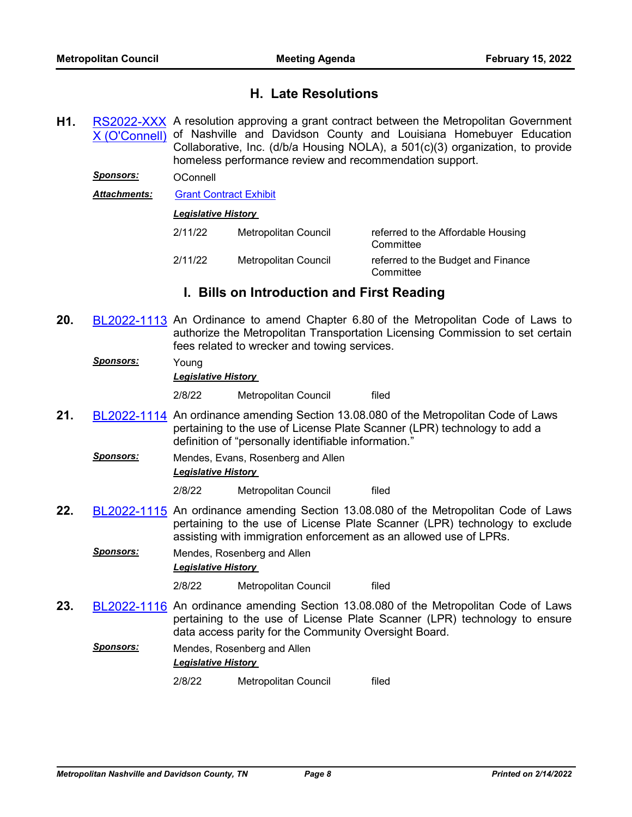# **H. Late Resolutions**

**H1.** RS2022-XXX A resolution approving a grant contract between the Metropolitan Government [X \(O'Connell\)](http://nashville.legistar.com/gateway.aspx?m=l&id=/matter.aspx?key=14146) of Nashville and Davidson County and Louisiana Homebuyer Education Collaborative, Inc. (d/b/a Housing NOLA), a 501(c)(3) organization, to provide homeless performance review and recommendation support.

*Sponsors:* OConnell

*Attachments:* [Grant Contract Exhibit](http://nashville.legistar.com/gateway.aspx?M=F&ID=2cfd1e21-d9c8-48e5-ad6f-7122ede7bae9.pdf)

#### *Legislative History*

| 2/11/22 | Metropolitan Council | referred to the Affordable Housing<br>Committee |
|---------|----------------------|-------------------------------------------------|
| 2/11/22 | Metropolitan Council | referred to the Budget and Finance<br>Committee |

# **I. Bills on Introduction and First Reading**

- **20.** [BL2022-1113](http://nashville.legistar.com/gateway.aspx?m=l&id=/matter.aspx?key=14134) An Ordinance to amend Chapter 6.80 of the Metropolitan Code of Laws to authorize the Metropolitan Transportation Licensing Commission to set certain fees related to wrecker and towing services.
	- *Sponsors:* Young *Legislative History*  2/8/22 Metropolitan Council filed
- **21.** [BL2022-1114](http://nashville.legistar.com/gateway.aspx?m=l&id=/matter.aspx?key=14137) An ordinance amending Section 13.08.080 of the Metropolitan Code of Laws pertaining to the use of License Plate Scanner (LPR) technology to add a definition of "personally identifiable information."
	- *Sponsors:* Mendes, Evans, Rosenberg and Allen *Legislative History*

2/8/22 Metropolitan Council filed

- **22.** [BL2022-1115](http://nashville.legistar.com/gateway.aspx?m=l&id=/matter.aspx?key=14143) An ordinance amending Section 13.08.080 of the Metropolitan Code of Laws pertaining to the use of License Plate Scanner (LPR) technology to exclude assisting with immigration enforcement as an allowed use of LPRs.
	- *Sponsors:* Mendes, Rosenberg and Allen *Legislative History*

2/8/22 Metropolitan Council filed

- **23.** [BL2022-1116](http://nashville.legistar.com/gateway.aspx?m=l&id=/matter.aspx?key=14135) An ordinance amending Section 13.08.080 of the Metropolitan Code of Laws pertaining to the use of License Plate Scanner (LPR) technology to ensure data access parity for the Community Oversight Board.
	- *Sponsors:* Mendes, Rosenberg and Allen *Legislative History* 
		- 2/8/22 Metropolitan Council filed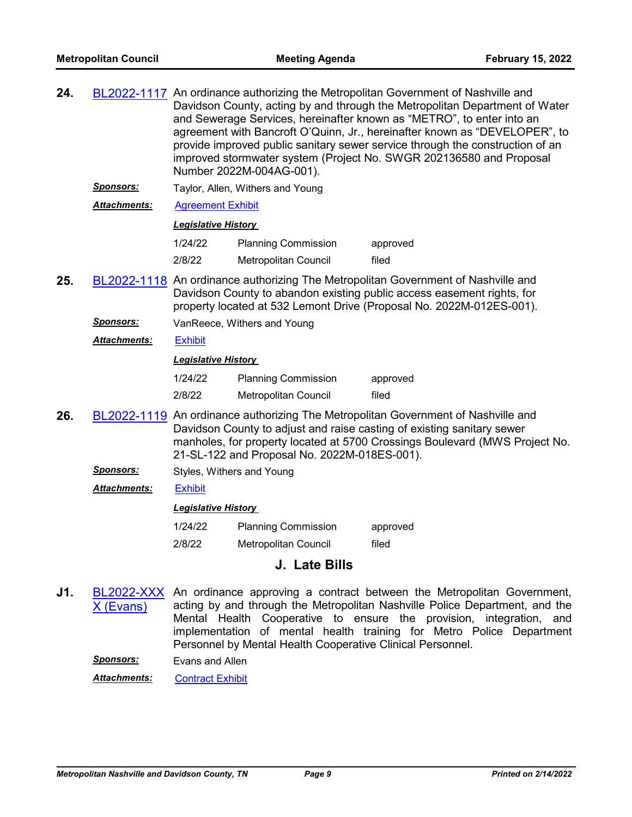| 24. |                     | BL2022-1117 An ordinance authorizing the Metropolitan Government of Nashville and<br>Davidson County, acting by and through the Metropolitan Department of Water<br>and Sewerage Services, hereinafter known as "METRO", to enter into an<br>agreement with Bancroft O'Quinn, Jr., hereinafter known as "DEVELOPER", to<br>provide improved public sanitary sewer service through the construction of an<br>improved stormwater system (Project No. SWGR 202136580 and Proposal<br>Number 2022M-004AG-001). |                                  |                                                                                                                                                                                                                                           |
|-----|---------------------|-------------------------------------------------------------------------------------------------------------------------------------------------------------------------------------------------------------------------------------------------------------------------------------------------------------------------------------------------------------------------------------------------------------------------------------------------------------------------------------------------------------|----------------------------------|-------------------------------------------------------------------------------------------------------------------------------------------------------------------------------------------------------------------------------------------|
|     | <u>Sponsors:</u>    |                                                                                                                                                                                                                                                                                                                                                                                                                                                                                                             | Taylor, Allen, Withers and Young |                                                                                                                                                                                                                                           |
|     | <b>Attachments:</b> | <b>Agreement Exhibit</b>                                                                                                                                                                                                                                                                                                                                                                                                                                                                                    |                                  |                                                                                                                                                                                                                                           |
|     |                     | <b>Legislative History</b>                                                                                                                                                                                                                                                                                                                                                                                                                                                                                  |                                  |                                                                                                                                                                                                                                           |
|     |                     | 1/24/22                                                                                                                                                                                                                                                                                                                                                                                                                                                                                                     | <b>Planning Commission</b>       | approved                                                                                                                                                                                                                                  |
|     |                     | 2/8/22                                                                                                                                                                                                                                                                                                                                                                                                                                                                                                      | Metropolitan Council             | filed                                                                                                                                                                                                                                     |
| 25. |                     |                                                                                                                                                                                                                                                                                                                                                                                                                                                                                                             |                                  | BL2022-1118 An ordinance authorizing The Metropolitan Government of Nashville and<br>Davidson County to abandon existing public access easement rights, for<br>property located at 532 Lemont Drive (Proposal No. 2022M-012ES-001).       |
|     | <u>Sponsors:</u>    | VanReece, Withers and Young                                                                                                                                                                                                                                                                                                                                                                                                                                                                                 |                                  |                                                                                                                                                                                                                                           |
|     | <b>Attachments:</b> | <b>Exhibit</b>                                                                                                                                                                                                                                                                                                                                                                                                                                                                                              |                                  |                                                                                                                                                                                                                                           |
|     |                     | <b>Legislative History</b>                                                                                                                                                                                                                                                                                                                                                                                                                                                                                  |                                  |                                                                                                                                                                                                                                           |
|     |                     | 1/24/22                                                                                                                                                                                                                                                                                                                                                                                                                                                                                                     | <b>Planning Commission</b>       | approved                                                                                                                                                                                                                                  |
|     |                     | 2/8/22                                                                                                                                                                                                                                                                                                                                                                                                                                                                                                      | Metropolitan Council             | filed                                                                                                                                                                                                                                     |
| 26. |                     |                                                                                                                                                                                                                                                                                                                                                                                                                                                                                                             |                                  | BL2022-1119 An ordinance authorizing The Metropolitan Government of Nashville and<br>Davidson County to adjust and raise casting of existing sanitary sewer<br>manholes, for property located at 5700 Crossings Boulevard (MWS Project No |

- manholes, for property located at 5700 Crossings Boulevard (MWS Project No. 21-SL-122 and Proposal No. 2022M-018ES-001).
	- **Sponsors:** Styles, Withers and Young
	- *Attachments:* [Exhibit](http://nashville.legistar.com/gateway.aspx?M=F&ID=21724904-2cad-46bd-a874-820a0782e91d.pdf)

## *Legislative History*

1/24/22 Planning Commission approved 2/8/22 Metropolitan Council filed

# **J. Late Bills**

**J1.** [BL2022-XXX](http://nashville.legistar.com/gateway.aspx?m=l&id=/matter.aspx?key=14147) X (Evans) An ordinance approving a contract between the Metropolitan Government, acting by and through the Metropolitan Nashville Police Department, and the Mental Health Cooperative to ensure the provision, integration, and implementation of mental health training for Metro Police Department Personnel by Mental Health Cooperative Clinical Personnel.

*Sponsors:* Evans and Allen

*Attachments:* [Contract Exhibit](http://nashville.legistar.com/gateway.aspx?M=F&ID=bf42b3b3-4bbf-4e3f-9185-e47a2daa556b.pdf)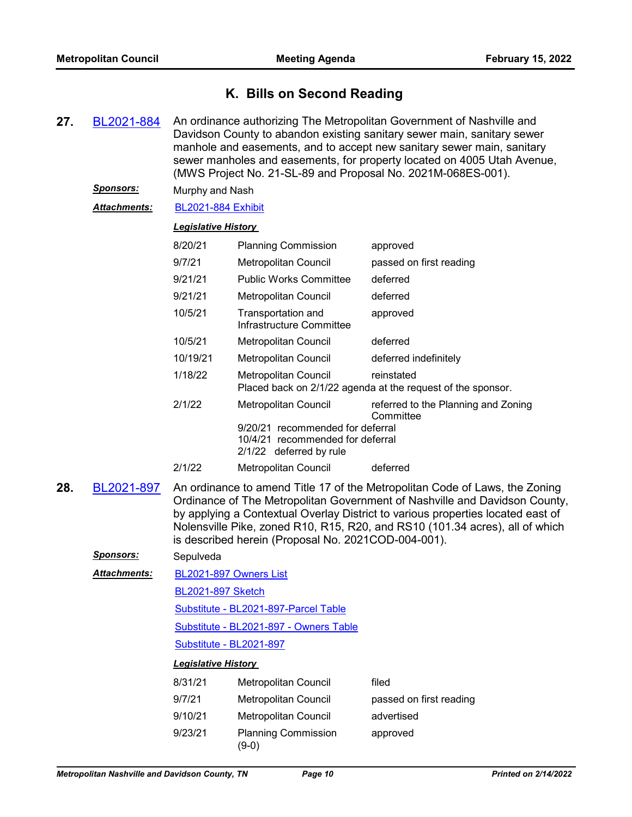# **K. Bills on Second Reading**

- **27.** [BL2021-884](http://nashville.legistar.com/gateway.aspx?m=l&id=/matter.aspx?key=13526) An ordinance authorizing The Metropolitan Government of Nashville and Davidson County to abandon existing sanitary sewer main, sanitary sewer manhole and easements, and to accept new sanitary sewer main, sanitary sewer manholes and easements, for property located on 4005 Utah Avenue, (MWS Project No. 21-SL-89 and Proposal No. 2021M-068ES-001).
	- *Sponsors:* Murphy and Nash
	- *Attachments:* [BL2021-884 Exhibit](http://nashville.legistar.com/gateway.aspx?M=F&ID=f23a379e-337a-4af1-bff9-5459762f5cde.pdf)

## *Legislative History*

| 8/20/21  | <b>Planning Commission</b>                                                                      | approved                                                                  |
|----------|-------------------------------------------------------------------------------------------------|---------------------------------------------------------------------------|
| 9/7/21   | <b>Metropolitan Council</b>                                                                     | passed on first reading                                                   |
| 9/21/21  | <b>Public Works Committee</b>                                                                   | deferred                                                                  |
| 9/21/21  | Metropolitan Council                                                                            | deferred                                                                  |
| 10/5/21  | Transportation and<br>Infrastructure Committee                                                  | approved                                                                  |
| 10/5/21  | Metropolitan Council                                                                            | deferred                                                                  |
| 10/19/21 | Metropolitan Council                                                                            | deferred indefinitely                                                     |
| 1/18/22  | Metropolitan Council                                                                            | reinstated<br>Placed back on 2/1/22 agenda at the request of the sponsor. |
| 2/1/22   | Metropolitan Council                                                                            | referred to the Planning and Zoning<br>Committee                          |
|          | 9/20/21 recommended for deferral<br>10/4/21 recommended for deferral<br>2/1/22 deferred by rule |                                                                           |
| 2/1/22   | Metropolitan Council                                                                            | deferred                                                                  |

**28.** [BL2021-897](http://nashville.legistar.com/gateway.aspx?m=l&id=/matter.aspx?key=13499) An ordinance to amend Title 17 of the Metropolitan Code of Laws, the Zoning Ordinance of The Metropolitan Government of Nashville and Davidson County, by applying a Contextual Overlay District to various properties located east of Nolensville Pike, zoned R10, R15, R20, and RS10 (101.34 acres), all of which is described herein (Proposal No. 2021COD-004-001).

| <b>Sponsors:</b>    | Sepulveda                              |                        |                         |  |
|---------------------|----------------------------------------|------------------------|-------------------------|--|
| <b>Attachments:</b> |                                        | BL2021-897 Owners List |                         |  |
|                     | <b>BL2021-897 Sketch</b>               |                        |                         |  |
|                     | Substitute - BL2021-897-Parcel Table   |                        |                         |  |
|                     | Substitute - BL2021-897 - Owners Table |                        |                         |  |
|                     | Substitute - BL2021-897                |                        |                         |  |
|                     | <b>Legislative History</b>             |                        |                         |  |
|                     | 8/31/21                                | Metropolitan Council   | filed                   |  |
|                     | 9/7/21                                 | Metropolitan Council   | passed on first reading |  |
|                     | 9/10/21                                | Metropolitan Council   | advertised              |  |

9/23/21 Planning Commission (9-0)

| Tiled                   |  |
|-------------------------|--|
| passed on first reading |  |
| advertised              |  |
| approved                |  |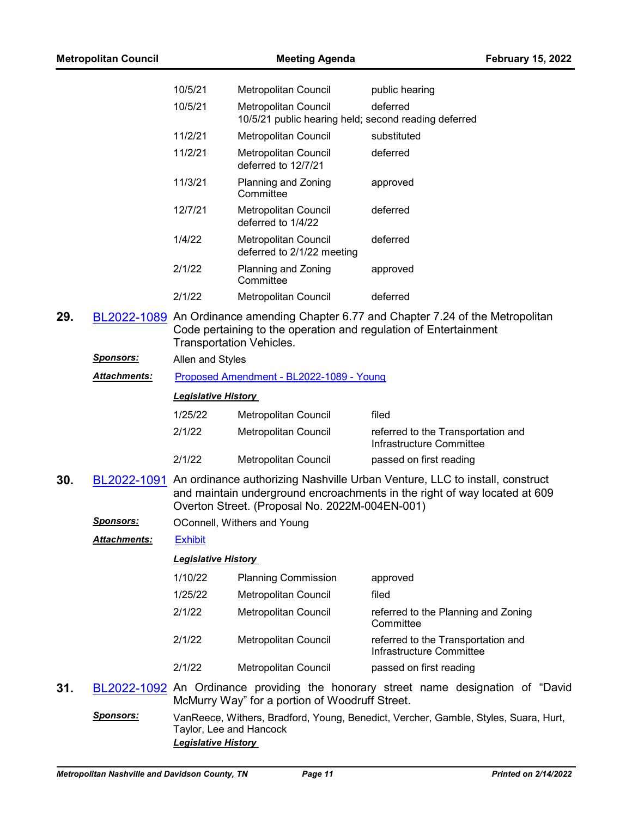|     |                  | 10/5/21                                               | Metropolitan Council                                                                                                                                                                                                   | public hearing                                                                      |
|-----|------------------|-------------------------------------------------------|------------------------------------------------------------------------------------------------------------------------------------------------------------------------------------------------------------------------|-------------------------------------------------------------------------------------|
|     |                  | 10/5/21                                               | Metropolitan Council<br>10/5/21 public hearing held; second reading deferred                                                                                                                                           | deferred                                                                            |
|     |                  | 11/2/21                                               | Metropolitan Council                                                                                                                                                                                                   | substituted                                                                         |
|     |                  | 11/2/21                                               | Metropolitan Council<br>deferred to 12/7/21                                                                                                                                                                            | deferred                                                                            |
|     |                  | 11/3/21                                               | Planning and Zoning<br>Committee                                                                                                                                                                                       | approved                                                                            |
|     |                  | 12/7/21                                               | Metropolitan Council<br>deferred to 1/4/22                                                                                                                                                                             | deferred                                                                            |
|     |                  | 1/4/22                                                | Metropolitan Council<br>deferred to 2/1/22 meeting                                                                                                                                                                     | deferred                                                                            |
|     |                  | 2/1/22                                                | Planning and Zoning<br>Committee                                                                                                                                                                                       | approved                                                                            |
|     |                  | 2/1/22                                                | Metropolitan Council                                                                                                                                                                                                   | deferred                                                                            |
| 29. |                  | <b>Transportation Vehicles.</b>                       | Code pertaining to the operation and regulation of Entertainment                                                                                                                                                       | BL2022-1089 An Ordinance amending Chapter 6.77 and Chapter 7.24 of the Metropolitan |
|     | Sponsors:        | Allen and Styles                                      |                                                                                                                                                                                                                        |                                                                                     |
|     | Attachments:     | Proposed Amendment - BL2022-1089 - Young              |                                                                                                                                                                                                                        |                                                                                     |
|     |                  | <b>Legislative History</b>                            |                                                                                                                                                                                                                        |                                                                                     |
|     |                  | 1/25/22                                               | Metropolitan Council                                                                                                                                                                                                   | filed                                                                               |
|     |                  | 2/1/22                                                | Metropolitan Council                                                                                                                                                                                                   | referred to the Transportation and<br>Infrastructure Committee                      |
|     |                  | 2/1/22                                                | Metropolitan Council                                                                                                                                                                                                   | passed on first reading                                                             |
| 30. |                  |                                                       | BL2022-1091 An ordinance authorizing Nashville Urban Venture, LLC to install, construct<br>and maintain underground encroachments in the right of way located at 609<br>Overton Street. (Proposal No. 2022M-004EN-001) |                                                                                     |
|     | <b>Sponsors:</b> |                                                       | OConnell, Withers and Young                                                                                                                                                                                            |                                                                                     |
|     | Attachments:     | Exhibit                                               |                                                                                                                                                                                                                        |                                                                                     |
|     |                  | <b>Legislative History</b>                            |                                                                                                                                                                                                                        |                                                                                     |
|     |                  | 1/10/22                                               | <b>Planning Commission</b>                                                                                                                                                                                             | approved                                                                            |
|     |                  | 1/25/22                                               | Metropolitan Council                                                                                                                                                                                                   | filed                                                                               |
|     |                  | 2/1/22                                                | Metropolitan Council                                                                                                                                                                                                   | referred to the Planning and Zoning<br>Committee                                    |
|     |                  | 2/1/22                                                | <b>Metropolitan Council</b>                                                                                                                                                                                            | referred to the Transportation and<br>Infrastructure Committee                      |
|     |                  | 2/1/22                                                | Metropolitan Council                                                                                                                                                                                                   | passed on first reading                                                             |
| 31. |                  |                                                       | McMurry Way" for a portion of Woodruff Street.                                                                                                                                                                         | BL2022-1092 An Ordinance providing the honorary street name designation of "David"  |
|     | <b>Sponsors:</b> | Taylor, Lee and Hancock<br><b>Legislative History</b> |                                                                                                                                                                                                                        | VanReece, Withers, Bradford, Young, Benedict, Vercher, Gamble, Styles, Suara, Hurt, |

**Metropolitan Council Meeting Agenda February 15, 2022**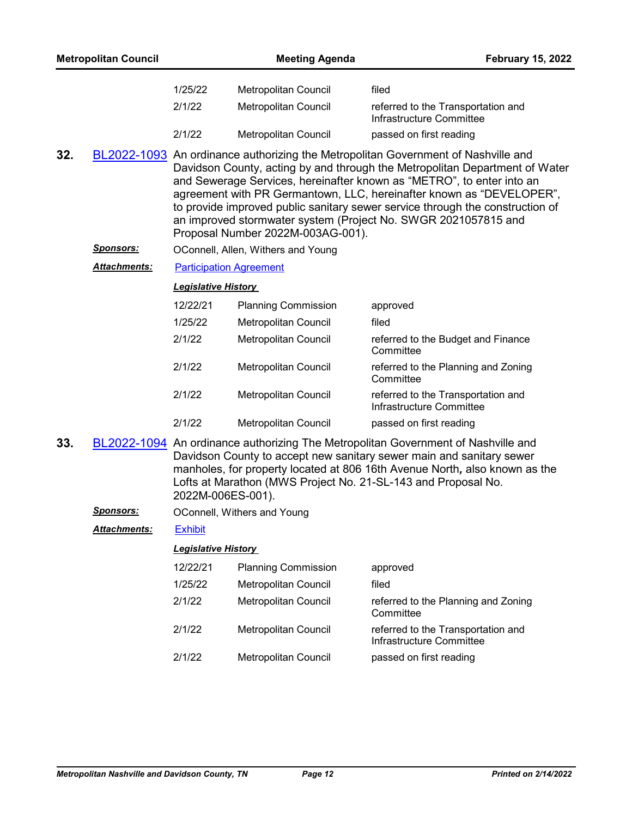|     | <b>Metropolitan Council</b> |                                | <b>Meeting Agenda</b>              | <b>February 15, 2022</b>                                                                                                                                                                                                                                                                                                                                                                                                                                             |
|-----|-----------------------------|--------------------------------|------------------------------------|----------------------------------------------------------------------------------------------------------------------------------------------------------------------------------------------------------------------------------------------------------------------------------------------------------------------------------------------------------------------------------------------------------------------------------------------------------------------|
|     |                             | 1/25/22                        | Metropolitan Council               | filed                                                                                                                                                                                                                                                                                                                                                                                                                                                                |
|     |                             | 2/1/22                         | Metropolitan Council               | referred to the Transportation and<br>Infrastructure Committee                                                                                                                                                                                                                                                                                                                                                                                                       |
|     |                             | 2/1/22                         | Metropolitan Council               | passed on first reading                                                                                                                                                                                                                                                                                                                                                                                                                                              |
| 32. |                             |                                | Proposal Number 2022M-003AG-001).  | BL2022-1093 An ordinance authorizing the Metropolitan Government of Nashville and<br>Davidson County, acting by and through the Metropolitan Department of Water<br>and Sewerage Services, hereinafter known as "METRO", to enter into an<br>agreement with PR Germantown, LLC, hereinafter known as "DEVELOPER",<br>to provide improved public sanitary sewer service through the construction of<br>an improved stormwater system (Project No. SWGR 2021057815 and |
|     | <u>Sponsors:</u>            |                                | OConnell, Allen, Withers and Young |                                                                                                                                                                                                                                                                                                                                                                                                                                                                      |
|     | <b>Attachments:</b>         | <b>Participation Agreement</b> |                                    |                                                                                                                                                                                                                                                                                                                                                                                                                                                                      |
|     |                             | <b>Legislative History</b>     |                                    |                                                                                                                                                                                                                                                                                                                                                                                                                                                                      |
|     |                             | 12/22/21                       | <b>Planning Commission</b>         | approved                                                                                                                                                                                                                                                                                                                                                                                                                                                             |
|     |                             | 1/25/22                        | <b>Metropolitan Council</b>        | filed                                                                                                                                                                                                                                                                                                                                                                                                                                                                |
|     |                             | 2/1/22                         | Metropolitan Council               | referred to the Budget and Finance<br>Committee                                                                                                                                                                                                                                                                                                                                                                                                                      |
|     |                             | 2/1/22                         | Metropolitan Council               | referred to the Planning and Zoning<br>Committee                                                                                                                                                                                                                                                                                                                                                                                                                     |
|     |                             | 2/1/22                         | Metropolitan Council               | referred to the Transportation and<br>Infrastructure Committee                                                                                                                                                                                                                                                                                                                                                                                                       |
|     |                             | 2/1/22                         | <b>Metropolitan Council</b>        | passed on first reading                                                                                                                                                                                                                                                                                                                                                                                                                                              |
| 33. |                             | 2022M-006ES-001).              |                                    | BL2022-1094 An ordinance authorizing The Metropolitan Government of Nashville and<br>Davidson County to accept new sanitary sewer main and sanitary sewer<br>manholes, for property located at 806 16th Avenue North, also known as the<br>Lofts at Marathon (MWS Project No. 21-SL-143 and Proposal No.                                                                                                                                                             |
|     | <u>Sponsors:</u>            |                                | OConnell, Withers and Young        |                                                                                                                                                                                                                                                                                                                                                                                                                                                                      |
|     | Attachments:                | <b>Exhibit</b>                 |                                    |                                                                                                                                                                                                                                                                                                                                                                                                                                                                      |
|     |                             | <b>Legislative History</b>     |                                    |                                                                                                                                                                                                                                                                                                                                                                                                                                                                      |
|     |                             | 12/22/21                       | <b>Planning Commission</b>         | approved                                                                                                                                                                                                                                                                                                                                                                                                                                                             |
|     |                             | 1/25/22                        | Metropolitan Council               | filed                                                                                                                                                                                                                                                                                                                                                                                                                                                                |
|     |                             | 2/1/22                         | Metropolitan Council               | referred to the Planning and Zoning<br>Committee                                                                                                                                                                                                                                                                                                                                                                                                                     |
|     |                             | 2/1/22                         | Metropolitan Council               | referred to the Transportation and<br>Infrastructure Committee                                                                                                                                                                                                                                                                                                                                                                                                       |

2/1/22 Metropolitan Council passed on first reading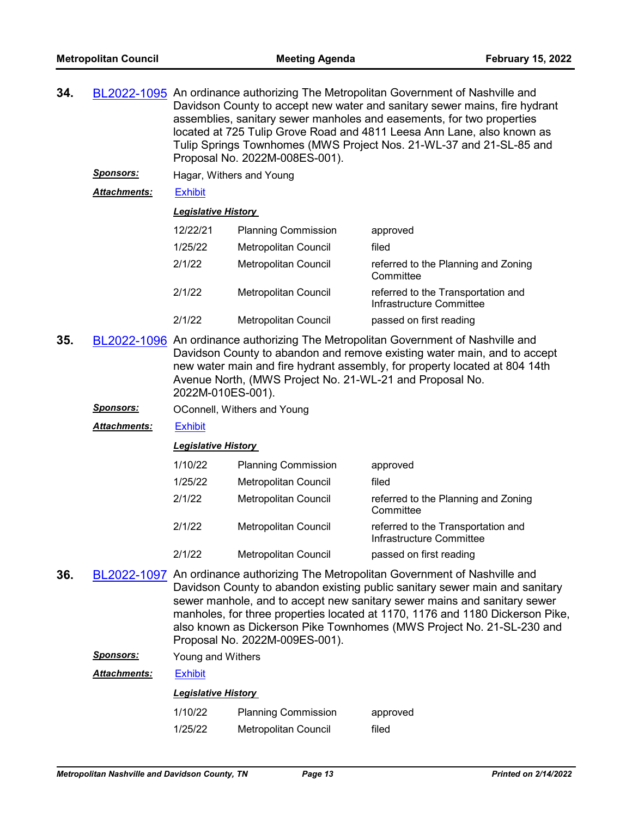- **34.** [BL2022-1095](http://nashville.legistar.com/gateway.aspx?m=l&id=/matter.aspx?key=14059) An ordinance authorizing The Metropolitan Government of Nashville and Davidson County to accept new water and sanitary sewer mains, fire hydrant assemblies, sanitary sewer manholes and easements, for two properties located at 725 Tulip Grove Road and 4811 Leesa Ann Lane, also known as Tulip Springs Townhomes (MWS Project Nos. 21-WL-37 and 21-SL-85 and Proposal No. 2022M-008ES-001).
	- *Sponsors:* Hagar, Withers and Young

*Attachments:* [Exhibit](http://nashville.legistar.com/gateway.aspx?M=F&ID=84316bfb-4eb2-45f7-a075-d7c9490513b5.pdf)

#### *Legislative History*

| 12/22/21 | <b>Planning Commission</b>  | approved                                                       |
|----------|-----------------------------|----------------------------------------------------------------|
| 1/25/22  | Metropolitan Council        | filed                                                          |
| 2/1/22   | <b>Metropolitan Council</b> | referred to the Planning and Zoning<br>Committee               |
| 2/1/22   | Metropolitan Council        | referred to the Transportation and<br>Infrastructure Committee |
| 2/1/22   | <b>Metropolitan Council</b> | passed on first reading                                        |

- **35.** [BL2022-1096](http://nashville.legistar.com/gateway.aspx?m=l&id=/matter.aspx?key=14062) An ordinance authorizing The Metropolitan Government of Nashville and Davidson County to abandon and remove existing water main, and to accept new water main and fire hydrant assembly, for property located at 804 14th Avenue North, (MWS Project No. 21-WL-21 and Proposal No. 2022M-010ES-001).
	- **Sponsors: OConnell, Withers and Young**
	- *Attachments:* [Exhibit](http://nashville.legistar.com/gateway.aspx?M=F&ID=df6be1e0-40f8-407d-a346-d7735de66de5.pdf)

#### *Legislative History*

| 1/10/22 | <b>Planning Commission</b>  | approved                                                       |
|---------|-----------------------------|----------------------------------------------------------------|
| 1/25/22 | Metropolitan Council        | filed                                                          |
| 2/1/22  | <b>Metropolitan Council</b> | referred to the Planning and Zoning<br>Committee               |
| 2/1/22  | <b>Metropolitan Council</b> | referred to the Transportation and<br>Infrastructure Committee |
| 2/1/22  | Metropolitan Council        | passed on first reading                                        |

- **36.** [BL2022-1097](http://nashville.legistar.com/gateway.aspx?m=l&id=/matter.aspx?key=14063) An ordinance authorizing The Metropolitan Government of Nashville and Davidson County to abandon existing public sanitary sewer main and sanitary sewer manhole, and to accept new sanitary sewer mains and sanitary sewer manholes, for three properties located at 1170, 1176 and 1180 Dickerson Pike, also known as Dickerson Pike Townhomes (MWS Project No. 21-SL-230 and Proposal No. 2022M-009ES-001).
	- *Sponsors:* Young and Withers
	- *Attachments:* [Exhibit](http://nashville.legistar.com/gateway.aspx?M=F&ID=97477704-26b3-47b0-a09c-ceb804faf59a.pdf)

| 1/10/22 | <b>Planning Commission</b> | approved |
|---------|----------------------------|----------|
| 1/25/22 | Metropolitan Council       | filed    |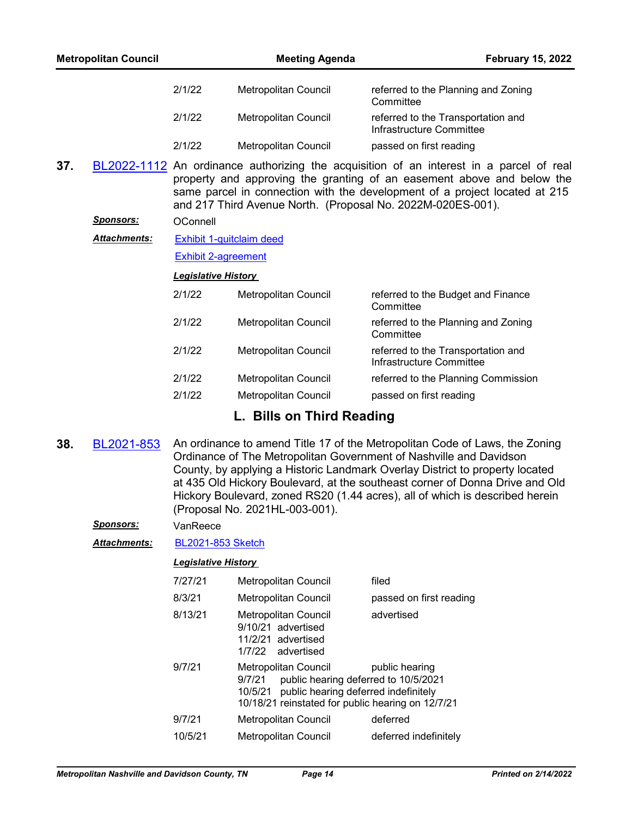|     | <b>Metropolitan Council</b> |        | <b>Meeting Agenda</b> | <b>February 15, 2022</b>                                                                |
|-----|-----------------------------|--------|-----------------------|-----------------------------------------------------------------------------------------|
|     |                             | 2/1/22 | Metropolitan Council  | referred to the Planning and Zoning<br>Committee                                        |
|     |                             | 2/1/22 | Metropolitan Council  | referred to the Transportation and<br>Infrastructure Committee                          |
|     |                             | 2/1/22 | Metropolitan Council  | passed on first reading                                                                 |
| 37. |                             |        |                       | BL2022-1112 An ordinance authorizing the acquisition of an interest in a parcel of real |

property and approving the granting of an easement above and below the same parcel in connection with the development of a project located at 215 and 217 Third Avenue North. (Proposal No. 2022M-020ES-001).

## *Sponsors:* OConnell

[Exhibit 1-quitclaim deed](http://nashville.legistar.com/gateway.aspx?M=F&ID=b2cdd669-390c-460d-b80e-1076a6be0875.pdf) *Attachments:*

[Exhibit 2-agreement](http://nashville.legistar.com/gateway.aspx?M=F&ID=dad2135c-c76f-4553-9066-e0eabab76d58.pdf)

## *Legislative History*

| 2/1/22 | <b>Metropolitan Council</b> | referred to the Budget and Finance<br>Committee                |
|--------|-----------------------------|----------------------------------------------------------------|
| 2/1/22 | <b>Metropolitan Council</b> | referred to the Planning and Zoning<br>Committee               |
| 2/1/22 | <b>Metropolitan Council</b> | referred to the Transportation and<br>Infrastructure Committee |
| 2/1/22 | <b>Metropolitan Council</b> | referred to the Planning Commission                            |
| 2/1/22 | <b>Metropolitan Council</b> | passed on first reading                                        |

# **L. Bills on Third Reading**

**38.** [BL2021-853](http://nashville.legistar.com/gateway.aspx?m=l&id=/matter.aspx?key=13415) An ordinance to amend Title 17 of the Metropolitan Code of Laws, the Zoning Ordinance of The Metropolitan Government of Nashville and Davidson County, by applying a Historic Landmark Overlay District to property located at 435 Old Hickory Boulevard, at the southeast corner of Donna Drive and Old Hickory Boulevard, zoned RS20 (1.44 acres), all of which is described herein (Proposal No. 2021HL-003-001).

*Sponsors:* VanReece

*Attachments:* [BL2021-853 Sketch](http://nashville.legistar.com/gateway.aspx?M=F&ID=42da74b8-94eb-499a-941b-939ba436d14a.docx)

| 7/27/21 | <b>Metropolitan Council</b>                                                                                                                                                 | filed                   |
|---------|-----------------------------------------------------------------------------------------------------------------------------------------------------------------------------|-------------------------|
| 8/3/21  | <b>Metropolitan Council</b>                                                                                                                                                 | passed on first reading |
| 8/13/21 | <b>Metropolitan Council</b><br>9/10/21 advertised<br>11/2/21 advertised<br>1/7/22 advertised                                                                                | advertised              |
| 9/7/21  | Metropolitan Council<br>public hearing deferred to 10/5/2021<br>9/7/21<br>10/5/21 public hearing deferred indefinitely<br>10/18/21 reinstated for public hearing on 12/7/21 | public hearing          |
| 9/7/21  | Metropolitan Council                                                                                                                                                        | deferred                |
| 10/5/21 | <b>Metropolitan Council</b>                                                                                                                                                 | deferred indefinitely   |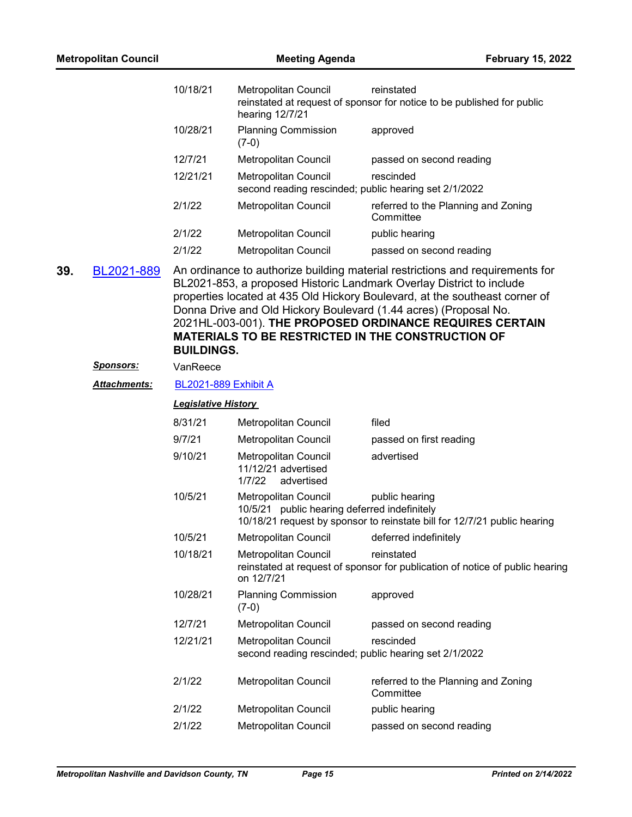|     | <b>Metropolitan Council</b> |                             | <b>Meeting Agenda</b>                                                         | <b>February 15, 2022</b>                                                                                                                                                                                                                                                                                                                                                                                                         |
|-----|-----------------------------|-----------------------------|-------------------------------------------------------------------------------|----------------------------------------------------------------------------------------------------------------------------------------------------------------------------------------------------------------------------------------------------------------------------------------------------------------------------------------------------------------------------------------------------------------------------------|
|     |                             | 10/18/21                    | Metropolitan Council<br>hearing 12/7/21                                       | reinstated<br>reinstated at request of sponsor for notice to be published for public                                                                                                                                                                                                                                                                                                                                             |
|     |                             | 10/28/21                    | <b>Planning Commission</b><br>$(7-0)$                                         | approved                                                                                                                                                                                                                                                                                                                                                                                                                         |
|     |                             | 12/7/21                     | Metropolitan Council                                                          | passed on second reading                                                                                                                                                                                                                                                                                                                                                                                                         |
|     |                             | 12/21/21                    | Metropolitan Council<br>second reading rescinded; public hearing set 2/1/2022 | rescinded                                                                                                                                                                                                                                                                                                                                                                                                                        |
|     |                             | 2/1/22                      | Metropolitan Council                                                          | referred to the Planning and Zoning<br>Committee                                                                                                                                                                                                                                                                                                                                                                                 |
|     |                             | 2/1/22                      | Metropolitan Council                                                          | public hearing                                                                                                                                                                                                                                                                                                                                                                                                                   |
|     |                             | 2/1/22                      | Metropolitan Council                                                          | passed on second reading                                                                                                                                                                                                                                                                                                                                                                                                         |
| 39. | BL2021-889                  | <b>BUILDINGS.</b>           |                                                                               | An ordinance to authorize building material restrictions and requirements for<br>BL2021-853, a proposed Historic Landmark Overlay District to include<br>properties located at 435 Old Hickory Boulevard, at the southeast corner of<br>Donna Drive and Old Hickory Boulevard (1.44 acres) (Proposal No.<br>2021HL-003-001). THE PROPOSED ORDINANCE REQUIRES CERTAIN<br><b>MATERIALS TO BE RESTRICTED IN THE CONSTRUCTION OF</b> |
|     | <u>Sponsors:</u>            | VanReece                    |                                                                               |                                                                                                                                                                                                                                                                                                                                                                                                                                  |
|     | Attachments:                | <b>BL2021-889 Exhibit A</b> |                                                                               |                                                                                                                                                                                                                                                                                                                                                                                                                                  |
|     |                             | <b>Legislative History</b>  |                                                                               |                                                                                                                                                                                                                                                                                                                                                                                                                                  |
|     |                             | 8/31/21                     | Metropolitan Council                                                          | filed                                                                                                                                                                                                                                                                                                                                                                                                                            |
|     |                             | 9/7/21                      | Metropolitan Council                                                          | passed on first reading                                                                                                                                                                                                                                                                                                                                                                                                          |
|     |                             | 9/10/21                     | <b>Metropolitan Council</b><br>11/12/21 advertised<br>1/7/22<br>advertised    | advertised                                                                                                                                                                                                                                                                                                                                                                                                                       |
|     |                             | 10/5/21                     | Metropolitan Council<br>10/5/21 public hearing deferred indefinitely          | public hearing<br>10/18/21 request by sponsor to reinstate bill for 12/7/21 public hearing                                                                                                                                                                                                                                                                                                                                       |
|     |                             | 10/5/21                     | Metropolitan Council                                                          | deferred indefinitely                                                                                                                                                                                                                                                                                                                                                                                                            |
|     |                             | 10/18/21                    | Metropolitan Council<br>on 12/7/21                                            | reinstated<br>reinstated at request of sponsor for publication of notice of public hearing                                                                                                                                                                                                                                                                                                                                       |
|     |                             | 10/28/21                    | <b>Planning Commission</b><br>$(7-0)$                                         | approved                                                                                                                                                                                                                                                                                                                                                                                                                         |
|     |                             | 12/7/21                     | Metropolitan Council                                                          | passed on second reading                                                                                                                                                                                                                                                                                                                                                                                                         |
|     |                             | 12/21/21                    | Metropolitan Council                                                          | rescinded<br>second reading rescinded; public hearing set 2/1/2022                                                                                                                                                                                                                                                                                                                                                               |
|     |                             | 2/1/22                      | Metropolitan Council                                                          | referred to the Planning and Zoning<br>Committee                                                                                                                                                                                                                                                                                                                                                                                 |
|     |                             | 2/1/22                      | Metropolitan Council                                                          | public hearing                                                                                                                                                                                                                                                                                                                                                                                                                   |
|     |                             | 2/1/22                      | Metropolitan Council                                                          | passed on second reading                                                                                                                                                                                                                                                                                                                                                                                                         |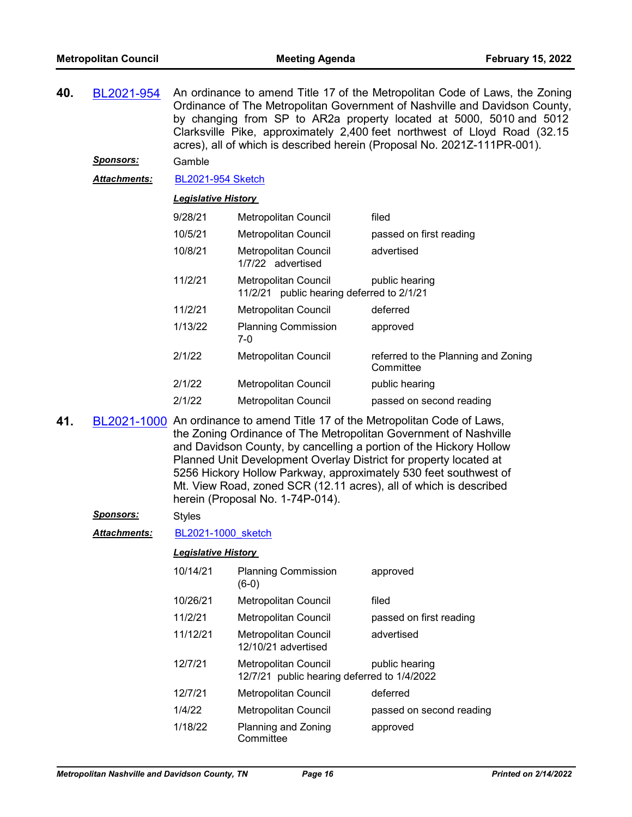| 40. | BL2021-954          | An ordinance to amend Title 17 of the Metropolitan Code of Laws, the Zoning<br>Ordinance of The Metropolitan Government of Nashville and Davidson County,<br>by changing from SP to AR2a property located at 5000, 5010 and 5012 |
|-----|---------------------|----------------------------------------------------------------------------------------------------------------------------------------------------------------------------------------------------------------------------------|
|     |                     | Clarksville Pike, approximately 2,400 feet northwest of Lloyd Road (32.15<br>acres), all of which is described herein (Proposal No. 2021Z-111PR-001).                                                                            |
|     | <b>Sponsors:</b>    | Gamble                                                                                                                                                                                                                           |
|     | <b>Attachments:</b> | <b>BL2021-954 Sketch</b>                                                                                                                                                                                                         |

## *Legislative History*

| 9/28/21 | <b>Metropolitan Council</b>                                          | filed                                            |
|---------|----------------------------------------------------------------------|--------------------------------------------------|
| 10/5/21 | <b>Metropolitan Council</b>                                          | passed on first reading                          |
| 10/8/21 | <b>Metropolitan Council</b><br>1/7/22 advertised                     | advertised                                       |
| 11/2/21 | Metropolitan Council<br>public hearing deferred to 2/1/21<br>11/2/21 | public hearing                                   |
| 11/2/21 | Metropolitan Council                                                 | deferred                                         |
| 1/13/22 | <b>Planning Commission</b><br>7-0                                    | approved                                         |
| 2/1/22  | <b>Metropolitan Council</b>                                          | referred to the Planning and Zoning<br>Committee |
| 2/1/22  | Metropolitan Council                                                 | public hearing                                   |
| 2/1/22  | Metropolitan Council                                                 | passed on second reading                         |

**41.** [BL2021-1000](http://nashville.legistar.com/gateway.aspx?m=l&id=/matter.aspx?key=13759) An ordinance to amend Title 17 of the Metropolitan Code of Laws, the Zoning Ordinance of The Metropolitan Government of Nashville and Davidson County, by cancelling a portion of the Hickory Hollow Planned Unit Development Overlay District for property located at 5256 Hickory Hollow Parkway, approximately 530 feet southwest of Mt. View Road, zoned SCR (12.11 acres), all of which is described herein (Proposal No. 1-74P-014).

#### *Sponsors:* Styles

*Attachments:* [BL2021-1000\\_sketch](http://nashville.legistar.com/gateway.aspx?M=F&ID=482cab64-50bb-4ce4-a99a-10d2760aff47.docx)

| 10/14/21 | <b>Planning Commission</b><br>$(6-0)$                                      | approved                 |
|----------|----------------------------------------------------------------------------|--------------------------|
| 10/26/21 | <b>Metropolitan Council</b>                                                | filed                    |
| 11/2/21  | Metropolitan Council                                                       | passed on first reading  |
| 11/12/21 | Metropolitan Council<br>12/10/21 advertised                                | advertised               |
| 12/7/21  | <b>Metropolitan Council</b><br>12/7/21 public hearing deferred to 1/4/2022 | public hearing           |
| 12/7/21  | <b>Metropolitan Council</b>                                                | deferred                 |
| 1/4/22   | Metropolitan Council                                                       | passed on second reading |
| 1/18/22  | Planning and Zoning<br>Committee                                           | approved                 |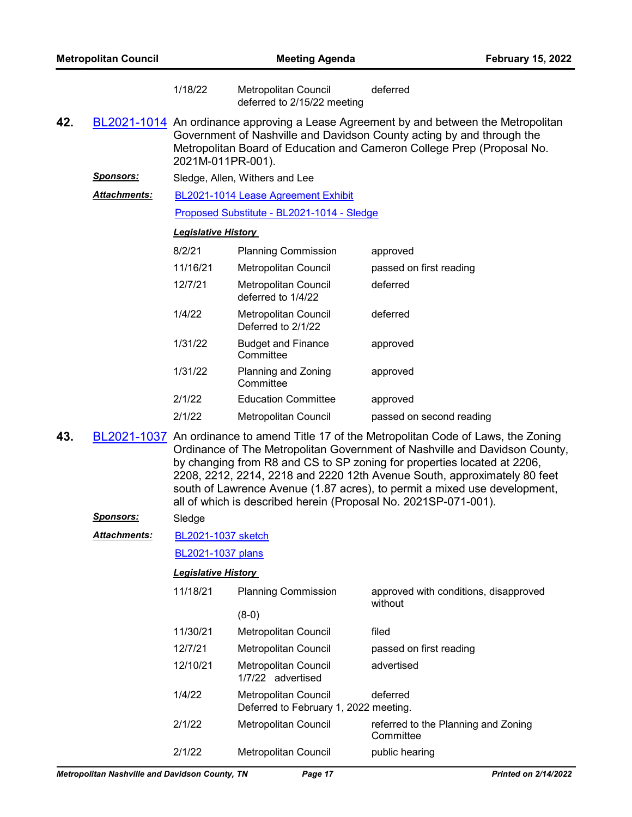| <b>Metropolitan Council</b> |                      | <b>Meeting Agenda</b>      |                                                                                                                                                                                                                                                                                                                                                                                                                                                                              |                                                  | <b>February 15, 2022</b> |  |
|-----------------------------|----------------------|----------------------------|------------------------------------------------------------------------------------------------------------------------------------------------------------------------------------------------------------------------------------------------------------------------------------------------------------------------------------------------------------------------------------------------------------------------------------------------------------------------------|--------------------------------------------------|--------------------------|--|
|                             |                      | 1/18/22                    | Metropolitan Council<br>deferred to 2/15/22 meeting                                                                                                                                                                                                                                                                                                                                                                                                                          | deferred                                         |                          |  |
| 42.                         |                      | 2021M-011PR-001).          | BL2021-1014 An ordinance approving a Lease Agreement by and between the Metropolitan<br>Government of Nashville and Davidson County acting by and through the<br>Metropolitan Board of Education and Cameron College Prep (Proposal No.                                                                                                                                                                                                                                      |                                                  |                          |  |
|                             | <u>Sponsors:</u>     |                            | Sledge, Allen, Withers and Lee                                                                                                                                                                                                                                                                                                                                                                                                                                               |                                                  |                          |  |
|                             | <b>Attachments:</b>  |                            | BL2021-1014 Lease Agreement Exhibit                                                                                                                                                                                                                                                                                                                                                                                                                                          |                                                  |                          |  |
|                             |                      |                            | Proposed Substitute - BL2021-1014 - Sledge                                                                                                                                                                                                                                                                                                                                                                                                                                   |                                                  |                          |  |
|                             |                      | <b>Legislative History</b> |                                                                                                                                                                                                                                                                                                                                                                                                                                                                              |                                                  |                          |  |
|                             |                      | 8/2/21                     | <b>Planning Commission</b>                                                                                                                                                                                                                                                                                                                                                                                                                                                   | approved                                         |                          |  |
|                             |                      | 11/16/21                   | Metropolitan Council                                                                                                                                                                                                                                                                                                                                                                                                                                                         | passed on first reading                          |                          |  |
|                             |                      | 12/7/21                    | <b>Metropolitan Council</b><br>deferred to 1/4/22                                                                                                                                                                                                                                                                                                                                                                                                                            | deferred                                         |                          |  |
|                             |                      | 1/4/22                     | <b>Metropolitan Council</b><br>Deferred to 2/1/22                                                                                                                                                                                                                                                                                                                                                                                                                            | deferred                                         |                          |  |
|                             |                      | 1/31/22                    | <b>Budget and Finance</b><br>Committee                                                                                                                                                                                                                                                                                                                                                                                                                                       | approved                                         |                          |  |
|                             |                      | 1/31/22                    | Planning and Zoning<br>Committee                                                                                                                                                                                                                                                                                                                                                                                                                                             | approved                                         |                          |  |
|                             |                      | 2/1/22                     | <b>Education Committee</b>                                                                                                                                                                                                                                                                                                                                                                                                                                                   | approved                                         |                          |  |
|                             |                      | 2/1/22                     | Metropolitan Council                                                                                                                                                                                                                                                                                                                                                                                                                                                         | passed on second reading                         |                          |  |
| 43.                         |                      |                            | BL2021-1037 An ordinance to amend Title 17 of the Metropolitan Code of Laws, the Zoning<br>Ordinance of The Metropolitan Government of Nashville and Davidson County,<br>by changing from R8 and CS to SP zoning for properties located at 2206,<br>2208, 2212, 2214, 2218 and 2220 12th Avenue South, approximately 80 feet<br>south of Lawrence Avenue (1.87 acres), to permit a mixed use development,<br>all of which is described herein (Proposal No. 2021SP-071-001). |                                                  |                          |  |
|                             | <u>Sponsors:</u>     | Sledge                     |                                                                                                                                                                                                                                                                                                                                                                                                                                                                              |                                                  |                          |  |
|                             | <u> Attachments:</u> | BL2021-1037 sketch         |                                                                                                                                                                                                                                                                                                                                                                                                                                                                              |                                                  |                          |  |
|                             |                      | <b>BL2021-1037 plans</b>   |                                                                                                                                                                                                                                                                                                                                                                                                                                                                              |                                                  |                          |  |
|                             |                      | <b>Legislative History</b> |                                                                                                                                                                                                                                                                                                                                                                                                                                                                              |                                                  |                          |  |
|                             |                      | 11/18/21                   | <b>Planning Commission</b>                                                                                                                                                                                                                                                                                                                                                                                                                                                   | approved with conditions, disapproved<br>without |                          |  |
|                             |                      |                            | $(8-0)$                                                                                                                                                                                                                                                                                                                                                                                                                                                                      |                                                  |                          |  |
|                             |                      | 11/30/21                   | Metropolitan Council                                                                                                                                                                                                                                                                                                                                                                                                                                                         | filed                                            |                          |  |
|                             |                      | 12/7/21                    | Metropolitan Council                                                                                                                                                                                                                                                                                                                                                                                                                                                         | passed on first reading                          |                          |  |
|                             |                      | 12/10/21                   | <b>Metropolitan Council</b><br>1/7/22 advertised                                                                                                                                                                                                                                                                                                                                                                                                                             | advertised                                       |                          |  |
|                             |                      | 1/4/22                     | Metropolitan Council<br>Deferred to February 1, 2022 meeting.                                                                                                                                                                                                                                                                                                                                                                                                                | deferred                                         |                          |  |
|                             |                      | 2/1/22                     | Metropolitan Council                                                                                                                                                                                                                                                                                                                                                                                                                                                         | referred to the Planning and Zoning              |                          |  |

2/1/22 Metropolitan Council public hearing

Committee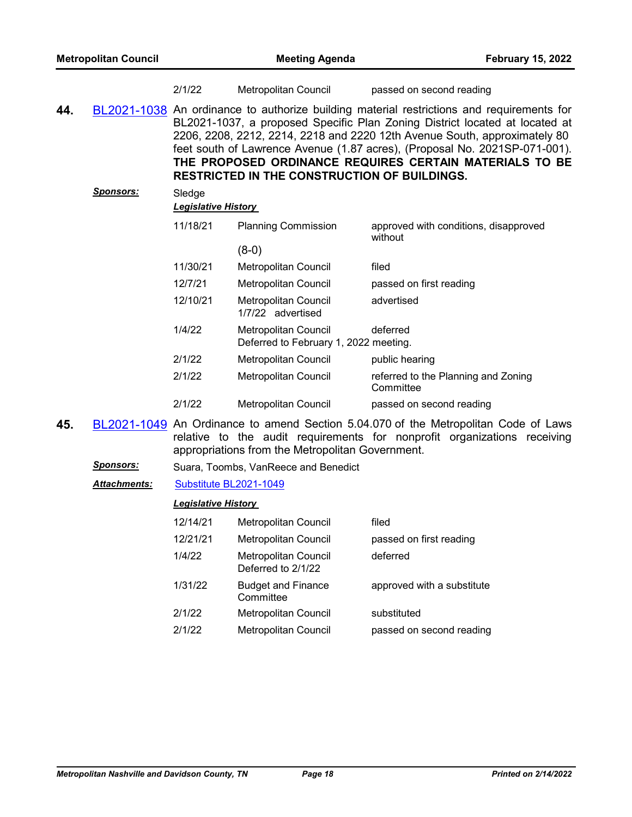|     |                  | 2/1/22                               | Metropolitan Council                                          | passed on second reading                                                                                                                                                                                                                                                                                                                                                                       |
|-----|------------------|--------------------------------------|---------------------------------------------------------------|------------------------------------------------------------------------------------------------------------------------------------------------------------------------------------------------------------------------------------------------------------------------------------------------------------------------------------------------------------------------------------------------|
| 44. |                  |                                      | <b>RESTRICTED IN THE CONSTRUCTION OF BUILDINGS.</b>           | BL2021-1038 An ordinance to authorize building material restrictions and requirements for<br>BL2021-1037, a proposed Specific Plan Zoning District located at located at<br>2206, 2208, 2212, 2214, 2218 and 2220 12th Avenue South, approximately 80<br>feet south of Lawrence Avenue (1.87 acres), (Proposal No. 2021SP-071-001).<br>THE PROPOSED ORDINANCE REQUIRES CERTAIN MATERIALS TO BE |
|     | <b>Sponsors:</b> | Sledge<br><b>Legislative History</b> |                                                               |                                                                                                                                                                                                                                                                                                                                                                                                |
|     |                  | 11/18/21                             | <b>Planning Commission</b>                                    | approved with conditions, disapproved<br>without                                                                                                                                                                                                                                                                                                                                               |
|     |                  |                                      | $(8-0)$                                                       |                                                                                                                                                                                                                                                                                                                                                                                                |
|     |                  | 11/30/21                             | <b>Metropolitan Council</b>                                   | filed                                                                                                                                                                                                                                                                                                                                                                                          |
|     |                  | 12/7/21                              | Metropolitan Council                                          | passed on first reading                                                                                                                                                                                                                                                                                                                                                                        |
|     |                  | 12/10/21                             | Metropolitan Council<br>1/7/22 advertised                     | advertised                                                                                                                                                                                                                                                                                                                                                                                     |
|     |                  | 1/4/22                               | Metropolitan Council<br>Deferred to February 1, 2022 meeting. | deferred                                                                                                                                                                                                                                                                                                                                                                                       |
|     |                  | 2/1/22                               | Metropolitan Council                                          | public hearing                                                                                                                                                                                                                                                                                                                                                                                 |
|     |                  | 2/1/22                               | Metropolitan Council                                          | referred to the Planning and Zoning<br>Committee                                                                                                                                                                                                                                                                                                                                               |
|     |                  | 2/1/22                               | <b>Metropolitan Council</b>                                   | passed on second reading                                                                                                                                                                                                                                                                                                                                                                       |
|     |                  |                                      |                                                               |                                                                                                                                                                                                                                                                                                                                                                                                |

**45.** [BL2021-1049](http://nashville.legistar.com/gateway.aspx?m=l&id=/matter.aspx?key=13955) An Ordinance to amend Section 5.04.070 of the Metropolitan Code of Laws relative to the audit requirements for nonprofit organizations receiving appropriations from the Metropolitan Government.

**Sponsors:** Suara, Toombs, VanReece and Benedict

## *Attachments:* [Substitute BL2021-1049](http://nashville.legistar.com/gateway.aspx?M=F&ID=3f6bb94f-64c2-4178-8088-42a300373370.docx)

| 12/14/21 | <b>Metropolitan Council</b>                | filed                      |
|----------|--------------------------------------------|----------------------------|
| 12/21/21 | Metropolitan Council                       | passed on first reading    |
| 1/4/22   | Metropolitan Council<br>Deferred to 2/1/22 | deferred                   |
| 1/31/22  | <b>Budget and Finance</b><br>Committee     | approved with a substitute |
| 2/1/22   | Metropolitan Council                       | substituted                |
| 2/1/22   | <b>Metropolitan Council</b>                | passed on second reading   |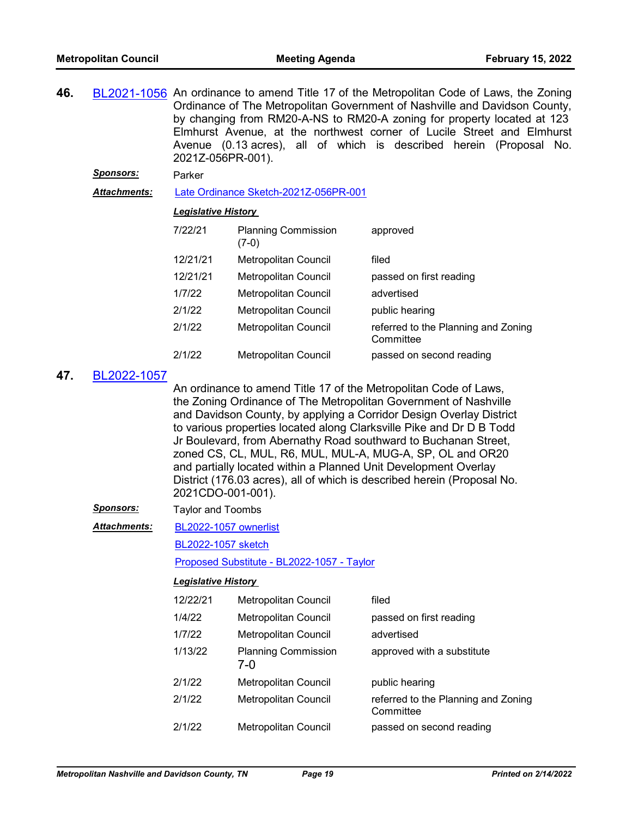| 46. | BL2021-1056 An ordinance to amend Title 17 of the Metropolitan Code of Laws, the Zoning |
|-----|-----------------------------------------------------------------------------------------|
|     | Ordinance of The Metropolitan Government of Nashville and Davidson County,              |
|     | by changing from RM20-A-NS to RM20-A zoning for property located at 123                 |
|     | Elmhurst Avenue, at the northwest corner of Lucile Street and Elmhurst                  |
|     | Avenue (0.13 acres), all of which is described herein (Proposal No.                     |
|     | 2021Z-056PR-001).                                                                       |

#### *Sponsors:* Parker

*Attachments:* [Late Ordinance Sketch-2021Z-056PR-001](http://nashville.legistar.com/gateway.aspx?M=F&ID=8288ba86-ed81-4af1-85b6-7d75075c49a5.docx)

#### *Legislative History*

| 7/22/21  | <b>Planning Commission</b><br>(7-0) | approved                                         |
|----------|-------------------------------------|--------------------------------------------------|
| 12/21/21 | <b>Metropolitan Council</b>         | filed                                            |
| 12/21/21 | Metropolitan Council                | passed on first reading                          |
| 1/7/22   | <b>Metropolitan Council</b>         | advertised                                       |
| 2/1/22   | <b>Metropolitan Council</b>         | public hearing                                   |
| 2/1/22   | <b>Metropolitan Council</b>         | referred to the Planning and Zoning<br>Committee |
| 2/1/22   | <b>Metropolitan Council</b>         | passed on second reading                         |

### **47.** [BL2022-1057](http://nashville.legistar.com/gateway.aspx?m=l&id=/matter.aspx?key=13961)

An ordinance to amend Title 17 of the Metropolitan Code of Laws, the Zoning Ordinance of The Metropolitan Government of Nashville and Davidson County, by applying a Corridor Design Overlay District to various properties located along Clarksville Pike and Dr D B Todd Jr Boulevard, from Abernathy Road southward to Buchanan Street, zoned CS, CL, MUL, R6, MUL, MUL-A, MUG-A, SP, OL and OR20 and partially located within a Planned Unit Development Overlay District (176.03 acres), all of which is described herein (Proposal No. 2021CDO-001-001).

*Sponsors:* Taylor and Toombs

[BL2022-1057 ownerlist](http://nashville.legistar.com/gateway.aspx?M=F&ID=5a62e06e-756c-4877-a3c7-2e12e8ad12c9.xlsx) *Attachments:*

[BL2022-1057 sketch](http://nashville.legistar.com/gateway.aspx?M=F&ID=606900c4-2a85-4a80-943a-b0d71ffb307d.docx)

[Proposed Substitute - BL2022-1057 - Taylor](http://nashville.legistar.com/gateway.aspx?M=F&ID=e046cc9a-5b7a-4b8d-a338-60fd8bf6a87d.pdf)

| 12/22/21 | <b>Metropolitan Council</b>         | filed                                            |
|----------|-------------------------------------|--------------------------------------------------|
| 1/4/22   | Metropolitan Council                | passed on first reading                          |
| 1/7/22   | Metropolitan Council                | advertised                                       |
| 1/13/22  | <b>Planning Commission</b><br>$7-0$ | approved with a substitute                       |
| 2/1/22   | Metropolitan Council                | public hearing                                   |
| 2/1/22   | Metropolitan Council                | referred to the Planning and Zoning<br>Committee |
| 2/1/22   | Metropolitan Council                | passed on second reading                         |
|          |                                     |                                                  |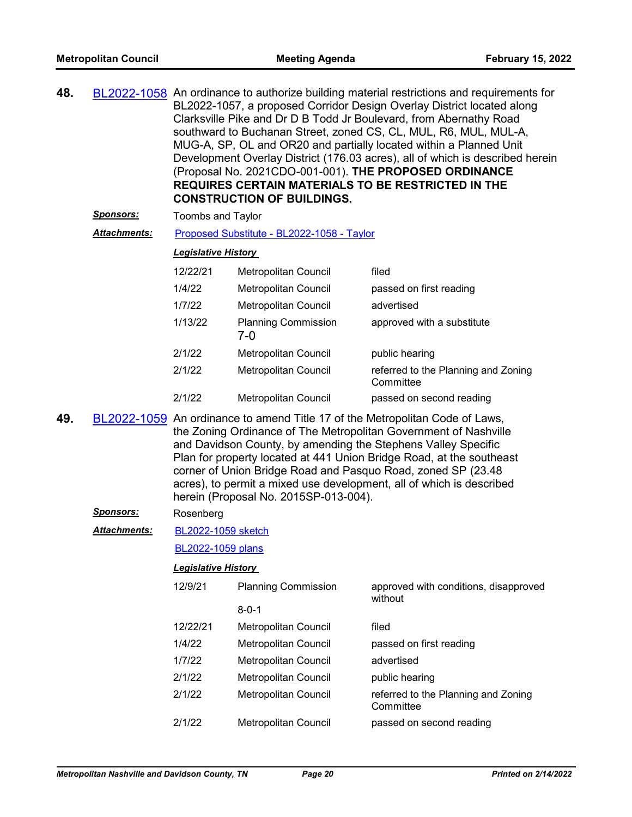| 48. | BL2022-1058 An ordinance to authorize building material restrictions and requirements for |
|-----|-------------------------------------------------------------------------------------------|
|     | BL2022-1057, a proposed Corridor Design Overlay District located along                    |
|     | Clarksville Pike and Dr D B Todd Jr Boulevard, from Abernathy Road                        |
|     | southward to Buchanan Street, zoned CS, CL, MUL, R6, MUL, MUL-A,                          |
|     | MUG-A, SP, OL and OR20 and partially located within a Planned Unit                        |
|     | Development Overlay District (176.03 acres), all of which is described herein             |
|     | (Proposal No. 2021CDO-001-001). THE PROPOSED ORDINANCE                                    |
|     | <b>REQUIRES CERTAIN MATERIALS TO BE RESTRICTED IN THE</b>                                 |
|     | <b>CONSTRUCTION OF BUILDINGS.</b>                                                         |
|     |                                                                                           |

**Sponsors:** Toombs and Taylor

Attachments: [Proposed Substitute - BL2022-1058 - Taylor](http://nashville.legistar.com/gateway.aspx?M=F&ID=ae4797b9-ce27-4c64-a8a1-7a7c24ee2730.pdf)

#### *Legislative History*

| 12/22/21 | Metropolitan Council              | filed                                            |
|----------|-----------------------------------|--------------------------------------------------|
| 1/4/22   | <b>Metropolitan Council</b>       | passed on first reading                          |
| 1/7/22   | <b>Metropolitan Council</b>       | advertised                                       |
| 1/13/22  | <b>Planning Commission</b><br>7-0 | approved with a substitute                       |
| 2/1/22   | <b>Metropolitan Council</b>       | public hearing                                   |
| 2/1/22   | <b>Metropolitan Council</b>       | referred to the Planning and Zoning<br>Committee |
| 2/1/22   | Metropolitan Council              | passed on second reading                         |

**49.** [BL2022-1059](http://nashville.legistar.com/gateway.aspx?m=l&id=/matter.aspx?key=13964) An ordinance to amend Title 17 of the Metropolitan Code of Laws, the Zoning Ordinance of The Metropolitan Government of Nashville and Davidson County, by amending the Stephens Valley Specific Plan for property located at 441 Union Bridge Road, at the southeast corner of Union Bridge Road and Pasquo Road, zoned SP (23.48 acres), to permit a mixed use development, all of which is described herein (Proposal No. 2015SP-013-004).

#### *Sponsors:* Rosenberg

[BL2022-1059 sketch](http://nashville.legistar.com/gateway.aspx?M=F&ID=af6963c1-963c-4ca6-af59-d79f76bdb301.docx) *Attachments:*

[BL2022-1059 plans](http://nashville.legistar.com/gateway.aspx?M=F&ID=d04a4ac9-9bee-4d14-97d5-af5d2fe8fc41.pdf)

| 12/9/21  | <b>Planning Commission</b> | approved with conditions, disapproved<br>without |
|----------|----------------------------|--------------------------------------------------|
|          | $8 - 0 - 1$                |                                                  |
| 12/22/21 | Metropolitan Council       | filed                                            |
| 1/4/22   | Metropolitan Council       | passed on first reading                          |
| 1/7/22   | Metropolitan Council       | advertised                                       |
| 2/1/22   | Metropolitan Council       | public hearing                                   |
| 2/1/22   | Metropolitan Council       | referred to the Planning and Zoning<br>Committee |
| 2/1/22   | Metropolitan Council       | passed on second reading                         |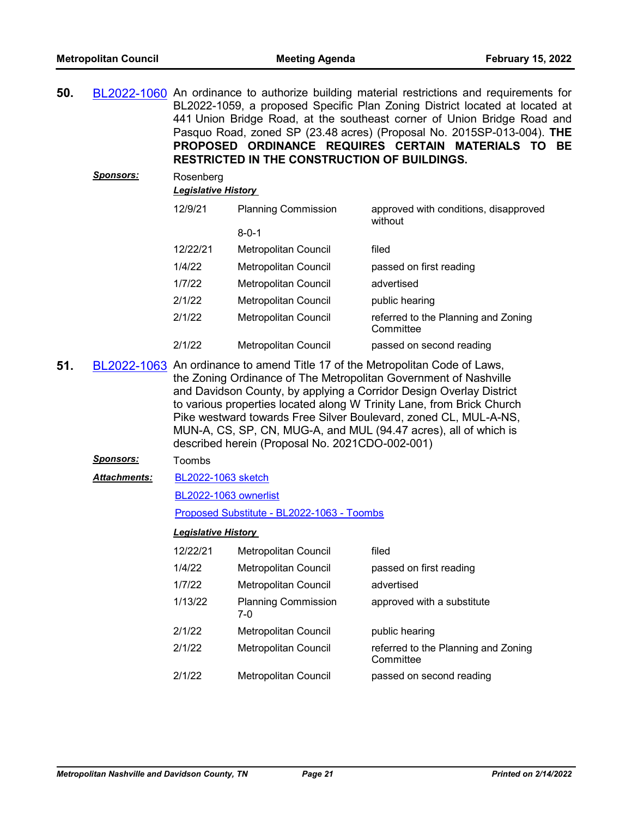| <b>Sponsors:</b><br>Rosenberg<br><b>Legislative History</b><br>12/9/21<br><b>Planning Commission</b><br>approved with conditions, disapproved<br>without<br>$8 - 0 - 1$<br>12/22/21<br>filed<br>Metropolitan Council<br>1/4/22<br><b>Metropolitan Council</b><br>passed on first reading<br>1/7/22<br>advertised<br>Metropolitan Council<br>2/1/22<br>Metropolitan Council<br>public hearing<br>2/1/22<br>Metropolitan Council<br>referred to the Planning and Zoning<br>Committee<br>2/1/22<br>Metropolitan Council<br>passed on second reading<br>51.<br>BL2022-1063 An ordinance to amend Title 17 of the Metropolitan Code of Laws,<br>the Zoning Ordinance of The Metropolitan Government of Nashville<br>and Davidson County, by applying a Corridor Design Overlay District | 50. |  | BL2022-1060 An ordinance to authorize building material restrictions and requirements for<br>BL2022-1059, a proposed Specific Plan Zoning District located at located at<br>441 Union Bridge Road, at the southeast corner of Union Bridge Road and<br>Pasquo Road, zoned SP (23.48 acres) (Proposal No. 2015SP-013-004). THE<br>PROPOSED ORDINANCE REQUIRES CERTAIN MATERIALS TO BE<br><b>RESTRICTED IN THE CONSTRUCTION OF BUILDINGS.</b> |  |  |  |
|------------------------------------------------------------------------------------------------------------------------------------------------------------------------------------------------------------------------------------------------------------------------------------------------------------------------------------------------------------------------------------------------------------------------------------------------------------------------------------------------------------------------------------------------------------------------------------------------------------------------------------------------------------------------------------------------------------------------------------------------------------------------------------|-----|--|---------------------------------------------------------------------------------------------------------------------------------------------------------------------------------------------------------------------------------------------------------------------------------------------------------------------------------------------------------------------------------------------------------------------------------------------|--|--|--|
|                                                                                                                                                                                                                                                                                                                                                                                                                                                                                                                                                                                                                                                                                                                                                                                    |     |  |                                                                                                                                                                                                                                                                                                                                                                                                                                             |  |  |  |
|                                                                                                                                                                                                                                                                                                                                                                                                                                                                                                                                                                                                                                                                                                                                                                                    |     |  |                                                                                                                                                                                                                                                                                                                                                                                                                                             |  |  |  |
|                                                                                                                                                                                                                                                                                                                                                                                                                                                                                                                                                                                                                                                                                                                                                                                    |     |  |                                                                                                                                                                                                                                                                                                                                                                                                                                             |  |  |  |
|                                                                                                                                                                                                                                                                                                                                                                                                                                                                                                                                                                                                                                                                                                                                                                                    |     |  |                                                                                                                                                                                                                                                                                                                                                                                                                                             |  |  |  |
|                                                                                                                                                                                                                                                                                                                                                                                                                                                                                                                                                                                                                                                                                                                                                                                    |     |  |                                                                                                                                                                                                                                                                                                                                                                                                                                             |  |  |  |
|                                                                                                                                                                                                                                                                                                                                                                                                                                                                                                                                                                                                                                                                                                                                                                                    |     |  |                                                                                                                                                                                                                                                                                                                                                                                                                                             |  |  |  |
|                                                                                                                                                                                                                                                                                                                                                                                                                                                                                                                                                                                                                                                                                                                                                                                    |     |  |                                                                                                                                                                                                                                                                                                                                                                                                                                             |  |  |  |
|                                                                                                                                                                                                                                                                                                                                                                                                                                                                                                                                                                                                                                                                                                                                                                                    |     |  |                                                                                                                                                                                                                                                                                                                                                                                                                                             |  |  |  |
|                                                                                                                                                                                                                                                                                                                                                                                                                                                                                                                                                                                                                                                                                                                                                                                    |     |  |                                                                                                                                                                                                                                                                                                                                                                                                                                             |  |  |  |
| Pike westward towards Free Silver Boulevard, zoned CL, MUL-A-NS,<br>MUN-A, CS, SP, CN, MUG-A, and MUL (94.47 acres), all of which is<br>described herein (Proposal No. 2021CDO-002-001)                                                                                                                                                                                                                                                                                                                                                                                                                                                                                                                                                                                            |     |  | to various properties located along W Trinity Lane, from Brick Church                                                                                                                                                                                                                                                                                                                                                                       |  |  |  |
| <u>Sponsors:</u><br>Toombs                                                                                                                                                                                                                                                                                                                                                                                                                                                                                                                                                                                                                                                                                                                                                         |     |  |                                                                                                                                                                                                                                                                                                                                                                                                                                             |  |  |  |
| <b>Attachments:</b><br>BL2022-1063 sketch                                                                                                                                                                                                                                                                                                                                                                                                                                                                                                                                                                                                                                                                                                                                          |     |  |                                                                                                                                                                                                                                                                                                                                                                                                                                             |  |  |  |
| <b>BL2022-1063 ownerlist</b>                                                                                                                                                                                                                                                                                                                                                                                                                                                                                                                                                                                                                                                                                                                                                       |     |  |                                                                                                                                                                                                                                                                                                                                                                                                                                             |  |  |  |
| Proposed Substitute - BL2022-1063 - Toombs                                                                                                                                                                                                                                                                                                                                                                                                                                                                                                                                                                                                                                                                                                                                         |     |  |                                                                                                                                                                                                                                                                                                                                                                                                                                             |  |  |  |

| 12/22/21 | Metropolitan Council              | filed                                            |
|----------|-----------------------------------|--------------------------------------------------|
| 1/4/22   | Metropolitan Council              | passed on first reading                          |
| 1/7/22   | Metropolitan Council              | advertised                                       |
| 1/13/22  | <b>Planning Commission</b><br>7-0 | approved with a substitute                       |
| 2/1/22   | Metropolitan Council              | public hearing                                   |
| 2/1/22   | Metropolitan Council              | referred to the Planning and Zoning<br>Committee |
| 2/1/22   | Metropolitan Council              | passed on second reading                         |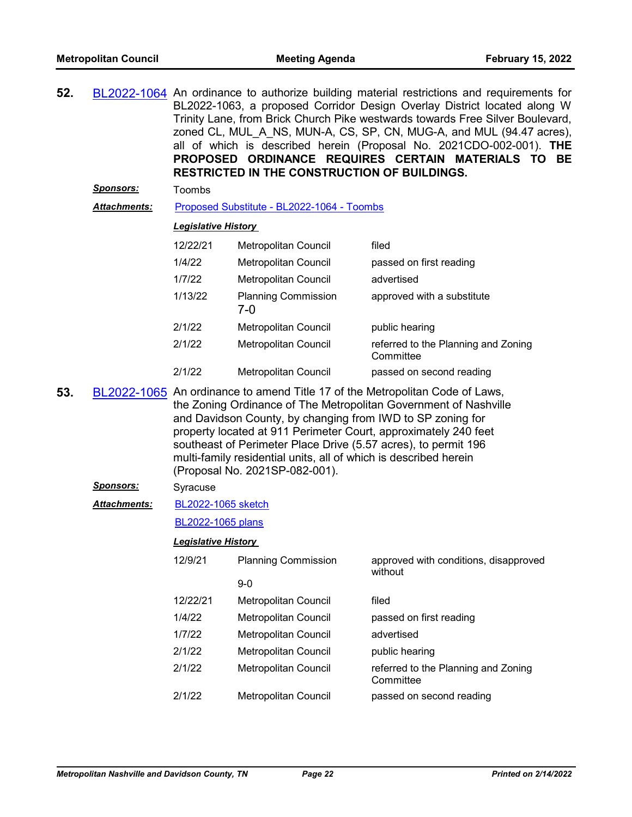| 52. |                     |                            | RESTRICTED IN THE CONSTRUCTION OF BUILDINGS.                                                                                                                                                                                                                                                          | BL2022-1064 An ordinance to authorize building material restrictions and requirements for<br>BL2022-1063, a proposed Corridor Design Overlay District located along W<br>Trinity Lane, from Brick Church Pike westwards towards Free Silver Boulevard,<br>zoned CL, MUL A NS, MUN-A, CS, SP, CN, MUG-A, and MUL (94.47 acres),<br>all of which is described herein (Proposal No. 2021CDO-002-001). THE<br>PROPOSED ORDINANCE REQUIRES CERTAIN MATERIALS TO BE |  |
|-----|---------------------|----------------------------|-------------------------------------------------------------------------------------------------------------------------------------------------------------------------------------------------------------------------------------------------------------------------------------------------------|---------------------------------------------------------------------------------------------------------------------------------------------------------------------------------------------------------------------------------------------------------------------------------------------------------------------------------------------------------------------------------------------------------------------------------------------------------------|--|
|     | <b>Sponsors:</b>    | Toombs                     |                                                                                                                                                                                                                                                                                                       |                                                                                                                                                                                                                                                                                                                                                                                                                                                               |  |
|     | Attachments:        |                            | Proposed Substitute - BL2022-1064 - Toombs                                                                                                                                                                                                                                                            |                                                                                                                                                                                                                                                                                                                                                                                                                                                               |  |
|     |                     | <b>Legislative History</b> |                                                                                                                                                                                                                                                                                                       |                                                                                                                                                                                                                                                                                                                                                                                                                                                               |  |
|     |                     | 12/22/21                   | Metropolitan Council                                                                                                                                                                                                                                                                                  | filed                                                                                                                                                                                                                                                                                                                                                                                                                                                         |  |
|     |                     | 1/4/22                     | Metropolitan Council                                                                                                                                                                                                                                                                                  | passed on first reading                                                                                                                                                                                                                                                                                                                                                                                                                                       |  |
|     |                     | 1/7/22                     | <b>Metropolitan Council</b>                                                                                                                                                                                                                                                                           | advertised                                                                                                                                                                                                                                                                                                                                                                                                                                                    |  |
|     |                     | 1/13/22                    | <b>Planning Commission</b><br>$7 - 0$                                                                                                                                                                                                                                                                 | approved with a substitute                                                                                                                                                                                                                                                                                                                                                                                                                                    |  |
|     |                     | 2/1/22                     | Metropolitan Council                                                                                                                                                                                                                                                                                  | public hearing                                                                                                                                                                                                                                                                                                                                                                                                                                                |  |
|     |                     | 2/1/22                     | Metropolitan Council                                                                                                                                                                                                                                                                                  | referred to the Planning and Zoning<br>Committee                                                                                                                                                                                                                                                                                                                                                                                                              |  |
|     |                     | 2/1/22                     | <b>Metropolitan Council</b>                                                                                                                                                                                                                                                                           | passed on second reading                                                                                                                                                                                                                                                                                                                                                                                                                                      |  |
| 53. |                     |                            | and Davidson County, by changing from IWD to SP zoning for<br>property located at 911 Perimeter Court, approximately 240 feet<br>southeast of Perimeter Place Drive (5.57 acres), to permit 196<br>multi-family residential units, all of which is described herein<br>(Proposal No. 2021SP-082-001). | BL2022-1065 An ordinance to amend Title 17 of the Metropolitan Code of Laws,<br>the Zoning Ordinance of The Metropolitan Government of Nashville                                                                                                                                                                                                                                                                                                              |  |
|     | <b>Sponsors:</b>    | Syracuse                   |                                                                                                                                                                                                                                                                                                       |                                                                                                                                                                                                                                                                                                                                                                                                                                                               |  |
|     | <b>Attachments:</b> | <b>BL2022-1065 sketch</b>  |                                                                                                                                                                                                                                                                                                       |                                                                                                                                                                                                                                                                                                                                                                                                                                                               |  |
|     |                     | BL2022-1065 plans          |                                                                                                                                                                                                                                                                                                       |                                                                                                                                                                                                                                                                                                                                                                                                                                                               |  |
|     |                     | <b>Legislative History</b> |                                                                                                                                                                                                                                                                                                       |                                                                                                                                                                                                                                                                                                                                                                                                                                                               |  |
|     |                     | 12/9/21                    | <b>Planning Commission</b>                                                                                                                                                                                                                                                                            | approved with conditions, disapproved<br>without                                                                                                                                                                                                                                                                                                                                                                                                              |  |
|     |                     |                            | $9-0$                                                                                                                                                                                                                                                                                                 |                                                                                                                                                                                                                                                                                                                                                                                                                                                               |  |
|     |                     | 12/22/21                   | Metropolitan Council                                                                                                                                                                                                                                                                                  | filed                                                                                                                                                                                                                                                                                                                                                                                                                                                         |  |
|     |                     | 1/4/22                     | Metropolitan Council                                                                                                                                                                                                                                                                                  | passed on first reading                                                                                                                                                                                                                                                                                                                                                                                                                                       |  |
|     |                     | 1/7/22                     | Metropolitan Council                                                                                                                                                                                                                                                                                  | advertised                                                                                                                                                                                                                                                                                                                                                                                                                                                    |  |
|     |                     | 2/1/22                     | Metropolitan Council                                                                                                                                                                                                                                                                                  | public hearing                                                                                                                                                                                                                                                                                                                                                                                                                                                |  |
|     |                     | 2/1/22                     | Metropolitan Council                                                                                                                                                                                                                                                                                  | referred to the Planning and Zoning<br>Committee                                                                                                                                                                                                                                                                                                                                                                                                              |  |
|     |                     | 2/1/22                     | Metropolitan Council                                                                                                                                                                                                                                                                                  | passed on second reading                                                                                                                                                                                                                                                                                                                                                                                                                                      |  |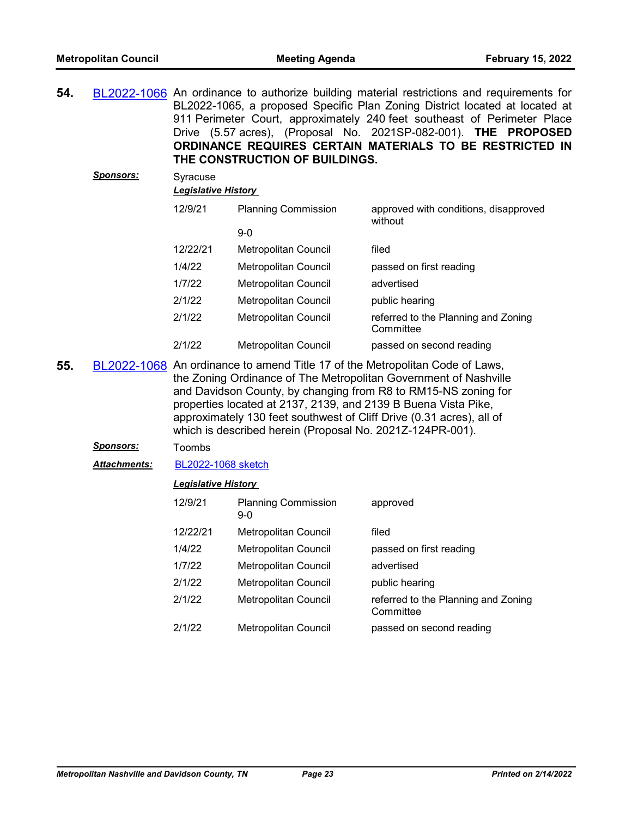**54.** [BL2022-1066](http://nashville.legistar.com/gateway.aspx?m=l&id=/matter.aspx?key=13972) An ordinance to authorize building material restrictions and requirements for BL2022-1065, a proposed Specific Plan Zoning District located at located at 911 Perimeter Court, approximately 240 feet southeast of Perimeter Place Drive (5.57 acres), (Proposal No. 2021SP-082-001). **THE PROPOSED ORDINANCE REQUIRES CERTAIN MATERIALS TO BE RESTRICTED IN THE CONSTRUCTION OF BUILDINGS.**

| <b>Sponsors:</b> | Syracuse<br><b>Legislative History</b> |                            |                                                  |
|------------------|----------------------------------------|----------------------------|--------------------------------------------------|
|                  | 12/9/21                                | <b>Planning Commission</b> | approved with conditions, disapproved<br>without |
|                  |                                        | $9-0$                      |                                                  |
|                  | 12/22/21                               | Metropolitan Council       | filed                                            |
|                  | 1/4/22                                 | Metropolitan Council       | passed on first reading                          |
|                  | 1/7/22                                 | Metropolitan Council       | advertised                                       |
|                  | 2/1/22                                 | Metropolitan Council       | public hearing                                   |
|                  | 2/1/22                                 | Metropolitan Council       | referred to the Planning and Zoning<br>Committee |
|                  | 2/1/22                                 | Metropolitan Council       | passed on second reading                         |

**55.** [BL2022-1068](http://nashville.legistar.com/gateway.aspx?m=l&id=/matter.aspx?key=13977) An ordinance to amend Title 17 of the Metropolitan Code of Laws, the Zoning Ordinance of The Metropolitan Government of Nashville and Davidson County, by changing from R8 to RM15-NS zoning for properties located at 2137, 2139, and 2139 B Buena Vista Pike, approximately 130 feet southwest of Cliff Drive (0.31 acres), all of which is described herein (Proposal No. 2021Z-124PR-001).

#### *Sponsors:* Toombs

*Attachments:* [BL2022-1068 sketch](http://nashville.legistar.com/gateway.aspx?M=F&ID=29e04ecb-2d2f-4bec-a999-9eb8dd383e1e.docx)

| 12/9/21  | <b>Planning Commission</b><br>$9-0$ | approved                                         |
|----------|-------------------------------------|--------------------------------------------------|
| 12/22/21 | <b>Metropolitan Council</b>         | filed                                            |
| 1/4/22   | Metropolitan Council                | passed on first reading                          |
| 1/7/22   | <b>Metropolitan Council</b>         | advertised                                       |
| 2/1/22   | <b>Metropolitan Council</b>         | public hearing                                   |
| 2/1/22   | Metropolitan Council                | referred to the Planning and Zoning<br>Committee |
| 2/1/22   | <b>Metropolitan Council</b>         | passed on second reading                         |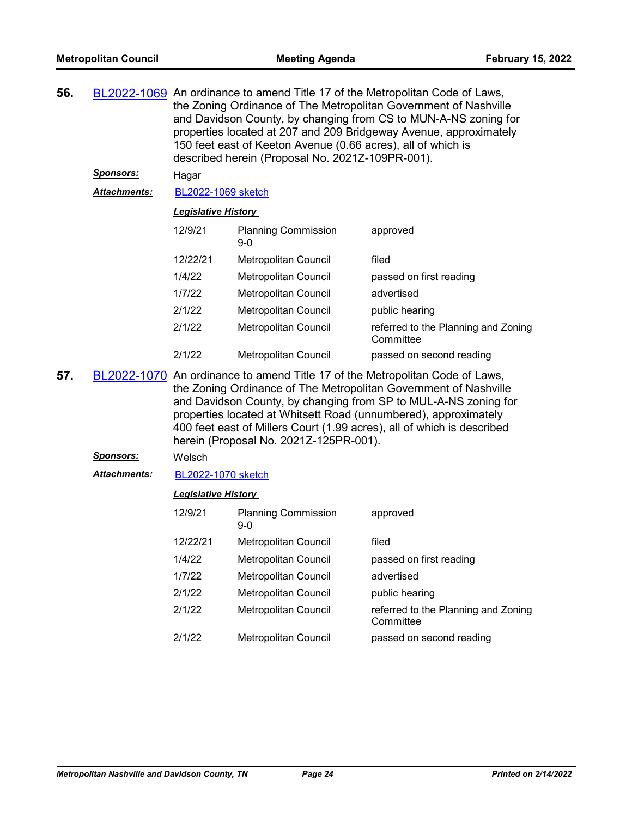| 56. |                  | BL2022-1069 An ordinance to amend Title 17 of the Metropolitan Code of Laws,<br>the Zoning Ordinance of The Metropolitan Government of Nashville<br>and Davidson County, by changing from CS to MUN-A-NS zoning for<br>properties located at 207 and 209 Bridgeway Avenue, approximately<br>150 feet east of Keeton Avenue (0.66 acres), all of which is<br>described herein (Proposal No. 2021Z-109PR-001). |                                        |                                                                                                                                                                                                                                                                                                                                                                  |  |
|-----|------------------|--------------------------------------------------------------------------------------------------------------------------------------------------------------------------------------------------------------------------------------------------------------------------------------------------------------------------------------------------------------------------------------------------------------|----------------------------------------|------------------------------------------------------------------------------------------------------------------------------------------------------------------------------------------------------------------------------------------------------------------------------------------------------------------------------------------------------------------|--|
|     | <u>Sponsors:</u> | Hagar                                                                                                                                                                                                                                                                                                                                                                                                        |                                        |                                                                                                                                                                                                                                                                                                                                                                  |  |
|     | Attachments:     | <b>BL2022-1069 sketch</b>                                                                                                                                                                                                                                                                                                                                                                                    |                                        |                                                                                                                                                                                                                                                                                                                                                                  |  |
|     |                  | <b>Legislative History</b>                                                                                                                                                                                                                                                                                                                                                                                   |                                        |                                                                                                                                                                                                                                                                                                                                                                  |  |
|     |                  | 12/9/21                                                                                                                                                                                                                                                                                                                                                                                                      | <b>Planning Commission</b><br>$9-0$    | approved                                                                                                                                                                                                                                                                                                                                                         |  |
|     |                  | 12/22/21                                                                                                                                                                                                                                                                                                                                                                                                     | Metropolitan Council                   | filed                                                                                                                                                                                                                                                                                                                                                            |  |
|     |                  | 1/4/22                                                                                                                                                                                                                                                                                                                                                                                                       | Metropolitan Council                   | passed on first reading                                                                                                                                                                                                                                                                                                                                          |  |
|     |                  | 1/7/22                                                                                                                                                                                                                                                                                                                                                                                                       | <b>Metropolitan Council</b>            | advertised                                                                                                                                                                                                                                                                                                                                                       |  |
|     |                  | 2/1/22                                                                                                                                                                                                                                                                                                                                                                                                       | Metropolitan Council                   | public hearing                                                                                                                                                                                                                                                                                                                                                   |  |
|     |                  | 2/1/22                                                                                                                                                                                                                                                                                                                                                                                                       | Metropolitan Council                   | referred to the Planning and Zoning<br>Committee                                                                                                                                                                                                                                                                                                                 |  |
|     |                  | 2/1/22                                                                                                                                                                                                                                                                                                                                                                                                       | Metropolitan Council                   | passed on second reading                                                                                                                                                                                                                                                                                                                                         |  |
| 57. |                  |                                                                                                                                                                                                                                                                                                                                                                                                              | herein (Proposal No. 2021Z-125PR-001). | BL2022-1070 An ordinance to amend Title 17 of the Metropolitan Code of Laws,<br>the Zoning Ordinance of The Metropolitan Government of Nashville<br>and Davidson County, by changing from SP to MUL-A-NS zoning for<br>properties located at Whitsett Road (unnumbered), approximately<br>400 feet east of Millers Court (1.99 acres), all of which is described |  |
|     | <b>Sponsors:</b> | Welsch                                                                                                                                                                                                                                                                                                                                                                                                       |                                        |                                                                                                                                                                                                                                                                                                                                                                  |  |
|     | Attachments:     | <b>BL2022-1070 sketch</b>                                                                                                                                                                                                                                                                                                                                                                                    |                                        |                                                                                                                                                                                                                                                                                                                                                                  |  |
|     |                  | <b>Legislative History</b>                                                                                                                                                                                                                                                                                                                                                                                   |                                        |                                                                                                                                                                                                                                                                                                                                                                  |  |
|     |                  | 12/9/21                                                                                                                                                                                                                                                                                                                                                                                                      | <b>Planning Commission</b><br>$9 - 0$  | approved                                                                                                                                                                                                                                                                                                                                                         |  |
|     |                  | 12/22/21                                                                                                                                                                                                                                                                                                                                                                                                     | Metropolitan Council                   | filed                                                                                                                                                                                                                                                                                                                                                            |  |
|     |                  | 1/4/22                                                                                                                                                                                                                                                                                                                                                                                                       | Metropolitan Council                   | passed on first reading                                                                                                                                                                                                                                                                                                                                          |  |
|     |                  | 1/7/22                                                                                                                                                                                                                                                                                                                                                                                                       | Metropolitan Council                   | advertised                                                                                                                                                                                                                                                                                                                                                       |  |
|     |                  | 2/1/22                                                                                                                                                                                                                                                                                                                                                                                                       | Metropolitan Council                   | public hearing                                                                                                                                                                                                                                                                                                                                                   |  |
|     |                  | 2/1/22                                                                                                                                                                                                                                                                                                                                                                                                       | Metropolitan Council                   | referred to the Planning and Zoning<br>Committee                                                                                                                                                                                                                                                                                                                 |  |
|     |                  | 2/1/22                                                                                                                                                                                                                                                                                                                                                                                                       | Metropolitan Council                   | passed on second reading                                                                                                                                                                                                                                                                                                                                         |  |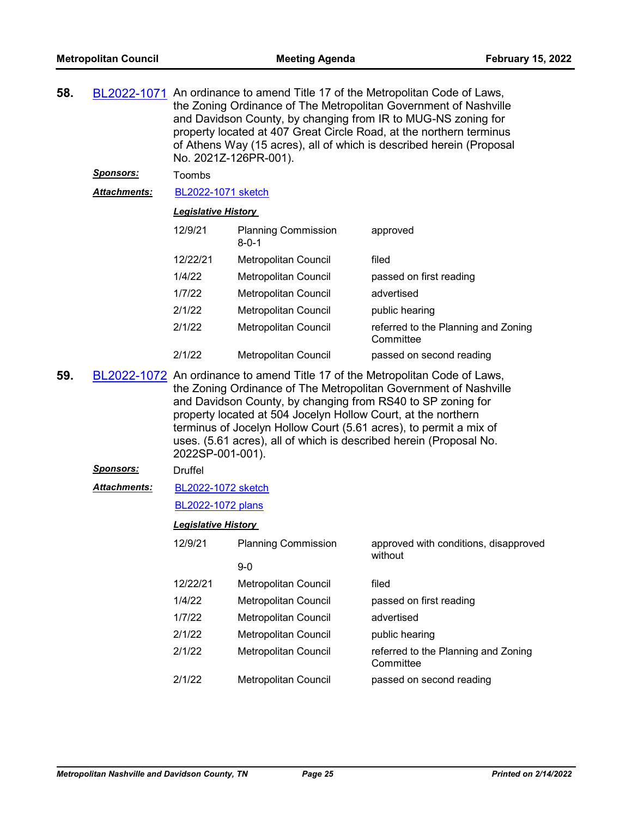| 58. |                     | BL2022-1071 An ordinance to amend Title 17 of the Metropolitan Code of Laws,<br>the Zoning Ordinance of The Metropolitan Government of Nashville<br>and Davidson County, by changing from IR to MUG-NS zoning for<br>property located at 407 Great Circle Road, at the northern terminus<br>of Athens Way (15 acres), all of which is described herein (Proposal<br>No. 2021Z-126PR-001).                                                       |                                           |                                                  |
|-----|---------------------|-------------------------------------------------------------------------------------------------------------------------------------------------------------------------------------------------------------------------------------------------------------------------------------------------------------------------------------------------------------------------------------------------------------------------------------------------|-------------------------------------------|--------------------------------------------------|
|     | <u>Sponsors:</u>    | Toombs                                                                                                                                                                                                                                                                                                                                                                                                                                          |                                           |                                                  |
|     | Attachments:        | BL2022-1071 sketch                                                                                                                                                                                                                                                                                                                                                                                                                              |                                           |                                                  |
|     |                     | <b>Legislative History</b>                                                                                                                                                                                                                                                                                                                                                                                                                      |                                           |                                                  |
|     |                     | 12/9/21                                                                                                                                                                                                                                                                                                                                                                                                                                         | <b>Planning Commission</b><br>$8 - 0 - 1$ | approved                                         |
|     |                     | 12/22/21                                                                                                                                                                                                                                                                                                                                                                                                                                        | Metropolitan Council                      | filed                                            |
|     |                     | 1/4/22                                                                                                                                                                                                                                                                                                                                                                                                                                          | Metropolitan Council                      | passed on first reading                          |
|     |                     | 1/7/22                                                                                                                                                                                                                                                                                                                                                                                                                                          | Metropolitan Council                      | advertised                                       |
|     |                     | 2/1/22                                                                                                                                                                                                                                                                                                                                                                                                                                          | Metropolitan Council                      | public hearing                                   |
|     |                     | 2/1/22                                                                                                                                                                                                                                                                                                                                                                                                                                          | Metropolitan Council                      | referred to the Planning and Zoning<br>Committee |
|     |                     | 2/1/22                                                                                                                                                                                                                                                                                                                                                                                                                                          | <b>Metropolitan Council</b>               | passed on second reading                         |
| 59. |                     | BL2022-1072 An ordinance to amend Title 17 of the Metropolitan Code of Laws,<br>the Zoning Ordinance of The Metropolitan Government of Nashville<br>and Davidson County, by changing from RS40 to SP zoning for<br>property located at 504 Jocelyn Hollow Court, at the northern<br>terminus of Jocelyn Hollow Court (5.61 acres), to permit a mix of<br>uses. (5.61 acres), all of which is described herein (Proposal No.<br>2022SP-001-001). |                                           |                                                  |
|     | <u>Sponsors:</u>    | <b>Druffel</b>                                                                                                                                                                                                                                                                                                                                                                                                                                  |                                           |                                                  |
|     | <b>Attachments:</b> | BL2022-1072 sketch                                                                                                                                                                                                                                                                                                                                                                                                                              |                                           |                                                  |
|     |                     | BL2022-1072 plans                                                                                                                                                                                                                                                                                                                                                                                                                               |                                           |                                                  |
|     |                     | <b>Legislative History</b>                                                                                                                                                                                                                                                                                                                                                                                                                      |                                           |                                                  |
|     |                     | 12/9/21                                                                                                                                                                                                                                                                                                                                                                                                                                         | <b>Planning Commission</b>                | approved with conditions, disapproved<br>without |
|     |                     |                                                                                                                                                                                                                                                                                                                                                                                                                                                 | $9-0$                                     |                                                  |
|     |                     | 12/22/21                                                                                                                                                                                                                                                                                                                                                                                                                                        | <b>Metropolitan Council</b>               | filed                                            |
|     |                     | 1/4/22                                                                                                                                                                                                                                                                                                                                                                                                                                          | Metropolitan Council                      | passed on first reading                          |
|     |                     | 1/7/22                                                                                                                                                                                                                                                                                                                                                                                                                                          | Metropolitan Council                      | advertised                                       |
|     |                     | 2/1/22                                                                                                                                                                                                                                                                                                                                                                                                                                          | Metropolitan Council                      | public hearing                                   |
|     |                     | 2/1/22                                                                                                                                                                                                                                                                                                                                                                                                                                          | Metropolitan Council                      | referred to the Planning and Zoning<br>Committee |
|     |                     | 2/1/22                                                                                                                                                                                                                                                                                                                                                                                                                                          | <b>Metropolitan Council</b>               | passed on second reading                         |
|     |                     |                                                                                                                                                                                                                                                                                                                                                                                                                                                 |                                           |                                                  |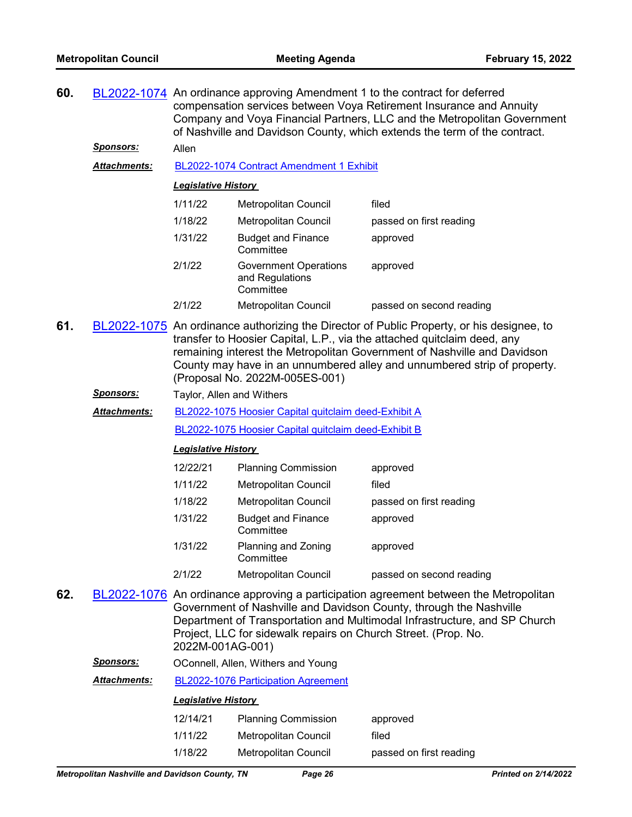| 60. |                     | BL2022-1074 An ordinance approving Amendment 1 to the contract for deferred<br>compensation services between Voya Retirement Insurance and Annuity<br>Company and Voya Financial Partners, LLC and the Metropolitan Government<br>of Nashville and Davidson County, which extends the term of the contract. |                       |                         |
|-----|---------------------|-------------------------------------------------------------------------------------------------------------------------------------------------------------------------------------------------------------------------------------------------------------------------------------------------------------|-----------------------|-------------------------|
|     | Sponsors:           | Allen                                                                                                                                                                                                                                                                                                       |                       |                         |
|     | <b>Attachments:</b> | BL2022-1074 Contract Amendment 1 Exhibit                                                                                                                                                                                                                                                                    |                       |                         |
|     |                     | <b>Legislative History</b>                                                                                                                                                                                                                                                                                  |                       |                         |
|     |                     | 1/11/22                                                                                                                                                                                                                                                                                                     | Metropolitan Council  | filed                   |
|     |                     | 1/18/22                                                                                                                                                                                                                                                                                                     | Metropolitan Council  | passed on first reading |
|     |                     | 1010                                                                                                                                                                                                                                                                                                        | Designed and Flaggers | ----------              |

| 1/31/22 | <b>Budget and Finance</b><br>Committee                       | approved                 |
|---------|--------------------------------------------------------------|--------------------------|
| 2/1/22  | <b>Government Operations</b><br>and Regulations<br>Committee | approved                 |
| 2/1/22  | <b>Metropolitan Council</b>                                  | passed on second reading |

- **61.** [BL2022-1075](http://nashville.legistar.com/gateway.aspx?m=l&id=/matter.aspx?key=14013) An ordinance authorizing the Director of Public Property, or his designee, to transfer to Hoosier Capital, L.P., via the attached quitclaim deed, any remaining interest the Metropolitan Government of Nashville and Davidson County may have in an unnumbered alley and unnumbered strip of property. (Proposal No. 2022M-005ES-001)
	- **Sponsors:** Taylor, Allen and Withers
	- [BL2022-1075 Hoosier Capital quitclaim deed-Exhibit A](http://nashville.legistar.com/gateway.aspx?M=F&ID=f48d8150-0b01-4c81-9902-fa319c3c8800.docx) *Attachments:*

[BL2022-1075 Hoosier Capital quitclaim deed-Exhibit B](http://nashville.legistar.com/gateway.aspx?M=F&ID=28ce17da-3e79-471c-8868-ba9942a653bb.docx)

## *Legislative History*

| 12/22/21 | <b>Planning Commission</b>             | approved                 |
|----------|----------------------------------------|--------------------------|
| 1/11/22  | Metropolitan Council                   | filed                    |
| 1/18/22  | <b>Metropolitan Council</b>            | passed on first reading  |
| 1/31/22  | <b>Budget and Finance</b><br>Committee | approved                 |
| 1/31/22  | Planning and Zoning<br>Committee       | approved                 |
| 2/1/22   | <b>Metropolitan Council</b>            | passed on second reading |

- **62.** [BL2022-1076](http://nashville.legistar.com/gateway.aspx?m=l&id=/matter.aspx?key=14010) An ordinance approving a participation agreement between the Metropolitan Government of Nashville and Davidson County, through the Nashville Department of Transportation and Multimodal Infrastructure, and SP Church Project, LLC for sidewalk repairs on Church Street. (Prop. No. 2022M-001AG-001)
	- *Sponsors:* OConnell, Allen, Withers and Young

*Attachments:* [BL2022-1076 Participation Agreement](http://nashville.legistar.com/gateway.aspx?M=F&ID=bf0d8141-2886-4eaa-8555-d0ac1a76b491.pdf)

| 12/14/21 | <b>Planning Commission</b> | approved                |
|----------|----------------------------|-------------------------|
| 1/11/22  | Metropolitan Council       | filed                   |
| 1/18/22  | Metropolitan Council       | passed on first reading |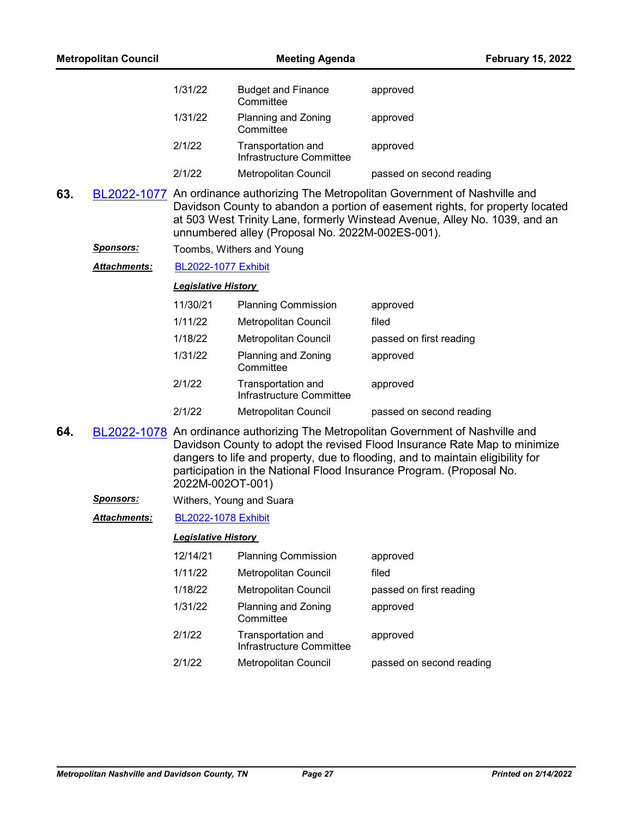| <b>Metropolitan Council</b> |                     | <b>Meeting Agenda</b>      |                                                  | <b>February 15, 2022</b>                                                                                                                                                                                                                                                                                                 |
|-----------------------------|---------------------|----------------------------|--------------------------------------------------|--------------------------------------------------------------------------------------------------------------------------------------------------------------------------------------------------------------------------------------------------------------------------------------------------------------------------|
|                             |                     | 1/31/22                    | <b>Budget and Finance</b><br>Committee           | approved                                                                                                                                                                                                                                                                                                                 |
|                             |                     | 1/31/22                    | Planning and Zoning<br>Committee                 | approved                                                                                                                                                                                                                                                                                                                 |
|                             |                     | 2/1/22                     | Transportation and<br>Infrastructure Committee   | approved                                                                                                                                                                                                                                                                                                                 |
|                             |                     | 2/1/22                     | Metropolitan Council                             | passed on second reading                                                                                                                                                                                                                                                                                                 |
| 63.                         |                     |                            | unnumbered alley (Proposal No. 2022M-002ES-001). | BL2022-1077 An ordinance authorizing The Metropolitan Government of Nashville and<br>Davidson County to abandon a portion of easement rights, for property located<br>at 503 West Trinity Lane, formerly Winstead Avenue, Alley No. 1039, and an                                                                         |
|                             | <u>Sponsors:</u>    |                            | Toombs, Withers and Young                        |                                                                                                                                                                                                                                                                                                                          |
|                             | <b>Attachments:</b> | <b>BL2022-1077 Exhibit</b> |                                                  |                                                                                                                                                                                                                                                                                                                          |
|                             |                     | <b>Legislative History</b> |                                                  |                                                                                                                                                                                                                                                                                                                          |
|                             |                     | 11/30/21                   | <b>Planning Commission</b>                       | approved                                                                                                                                                                                                                                                                                                                 |
|                             |                     | 1/11/22                    | Metropolitan Council                             | filed                                                                                                                                                                                                                                                                                                                    |
|                             |                     | 1/18/22                    | Metropolitan Council                             | passed on first reading                                                                                                                                                                                                                                                                                                  |
|                             |                     | 1/31/22                    | Planning and Zoning<br>Committee                 | approved                                                                                                                                                                                                                                                                                                                 |
|                             |                     | 2/1/22                     | Transportation and<br>Infrastructure Committee   | approved                                                                                                                                                                                                                                                                                                                 |
|                             |                     | 2/1/22                     | Metropolitan Council                             | passed on second reading                                                                                                                                                                                                                                                                                                 |
| 64.                         |                     | 2022M-002OT-001)           |                                                  | BL2022-1078 An ordinance authorizing The Metropolitan Government of Nashville and<br>Davidson County to adopt the revised Flood Insurance Rate Map to minimize<br>dangers to life and property, due to flooding, and to maintain eligibility for<br>participation in the National Flood Insurance Program. (Proposal No. |
|                             | <u>Sponsors:</u>    | Withers, Young and Suara   |                                                  |                                                                                                                                                                                                                                                                                                                          |
|                             | <b>Attachments:</b> | BL2022-1078 Exhibit        |                                                  |                                                                                                                                                                                                                                                                                                                          |
|                             |                     | <b>Legislative History</b> |                                                  |                                                                                                                                                                                                                                                                                                                          |
|                             |                     | 12/14/21                   | <b>Planning Commission</b>                       | approved                                                                                                                                                                                                                                                                                                                 |
|                             |                     | 1/11/22                    | Metropolitan Council                             | filed                                                                                                                                                                                                                                                                                                                    |
|                             |                     | 1/18/22                    | <b>Metropolitan Council</b>                      | passed on first reading                                                                                                                                                                                                                                                                                                  |
|                             |                     | 1/31/22                    | Planning and Zoning<br>Committee                 | approved                                                                                                                                                                                                                                                                                                                 |
|                             |                     | 2/1/22                     | Transportation and<br>Infrastructure Committee   | approved                                                                                                                                                                                                                                                                                                                 |
|                             |                     | 2/1/22                     | Metropolitan Council                             | passed on second reading                                                                                                                                                                                                                                                                                                 |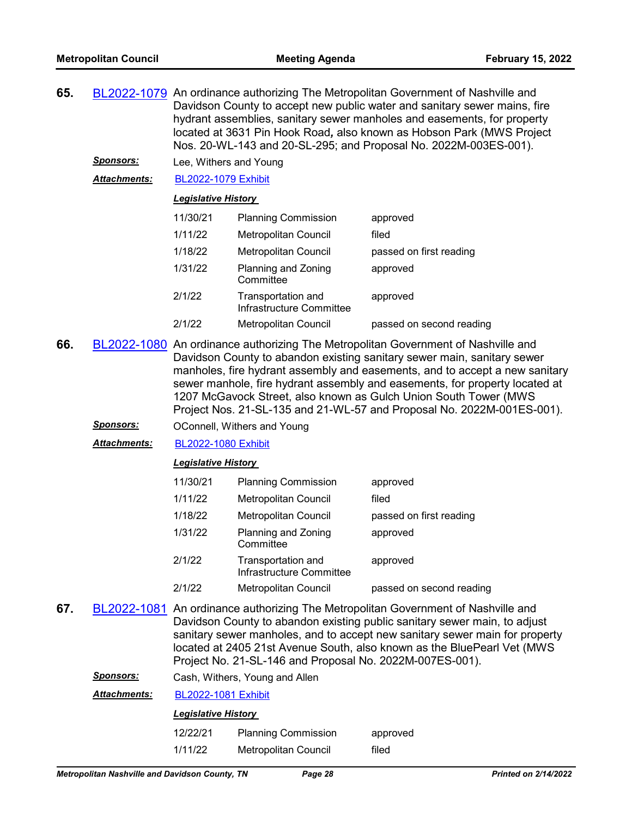- **65.** [BL2022-1079](http://nashville.legistar.com/gateway.aspx?m=l&id=/matter.aspx?key=14015) An ordinance authorizing The Metropolitan Government of Nashville and Davidson County to accept new public water and sanitary sewer mains, fire hydrant assemblies, sanitary sewer manholes and easements, for property located at 3631 Pin Hook Road*,* also known as Hobson Park (MWS Project Nos. 20-WL-143 and 20-SL-295; and Proposal No. 2022M-003ES-001).
	- *Sponsors:* Lee, Withers and Young

*Attachments:* [BL2022-1079 Exhibit](http://nashville.legistar.com/gateway.aspx?M=F&ID=51683f45-7980-47af-874a-739de1cb0f83.pdf)

## *Legislative History*

| 11/30/21 | <b>Planning Commission</b>                     | approved                 |
|----------|------------------------------------------------|--------------------------|
| 1/11/22  | <b>Metropolitan Council</b>                    | filed                    |
| 1/18/22  | <b>Metropolitan Council</b>                    | passed on first reading  |
| 1/31/22  | Planning and Zoning<br>Committee               | approved                 |
| 2/1/22   | Transportation and<br>Infrastructure Committee | approved                 |
| 2/1/22   | <b>Metropolitan Council</b>                    | passed on second reading |

- **66.** [BL2022-1080](http://nashville.legistar.com/gateway.aspx?m=l&id=/matter.aspx?key=14016) An ordinance authorizing The Metropolitan Government of Nashville and Davidson County to abandon existing sanitary sewer main, sanitary sewer manholes, fire hydrant assembly and easements, and to accept a new sanitary sewer manhole, fire hydrant assembly and easements, for property located at 1207 McGavock Street, also known as Gulch Union South Tower (MWS Project Nos. 21-SL-135 and 21-WL-57 and Proposal No. 2022M-001ES-001).
	- **Sponsors: OConnell, Withers and Young**

*Attachments:* [BL2022-1080 Exhibit](http://nashville.legistar.com/gateway.aspx?M=F&ID=1f79bddc-d5f2-4cab-931f-ea081c3cd65a.pdf)

#### *Legislative History*

| 11/30/21 | <b>Planning Commission</b>                     | approved                 |
|----------|------------------------------------------------|--------------------------|
| 1/11/22  | <b>Metropolitan Council</b>                    | filed                    |
| 1/18/22  | <b>Metropolitan Council</b>                    | passed on first reading  |
| 1/31/22  | Planning and Zoning<br>Committee               | approved                 |
| 2/1/22   | Transportation and<br>Infrastructure Committee | approved                 |
| 2/1/22   | Metropolitan Council                           | passed on second reading |

**67.** [BL2022-1081](http://nashville.legistar.com/gateway.aspx?m=l&id=/matter.aspx?key=14022) An ordinance authorizing The Metropolitan Government of Nashville and Davidson County to abandon existing public sanitary sewer main, to adjust sanitary sewer manholes, and to accept new sanitary sewer main for property located at 2405 21st Avenue South, also known as the BluePearl Vet (MWS Project No. 21-SL-146 and Proposal No. 2022M-007ES-001).

| <b>Sponsors:</b> |  | Cash, Withers, Young and Allen |
|------------------|--|--------------------------------|
|------------------|--|--------------------------------|

*Attachments:* [BL2022-1081 Exhibit](http://nashville.legistar.com/gateway.aspx?M=F&ID=9818c631-abe0-43cd-bf98-b19f3b9797fd.pdf)

## *Legislative History*

12/22/21 Planning Commission approved 1/11/22 Metropolitan Council filed